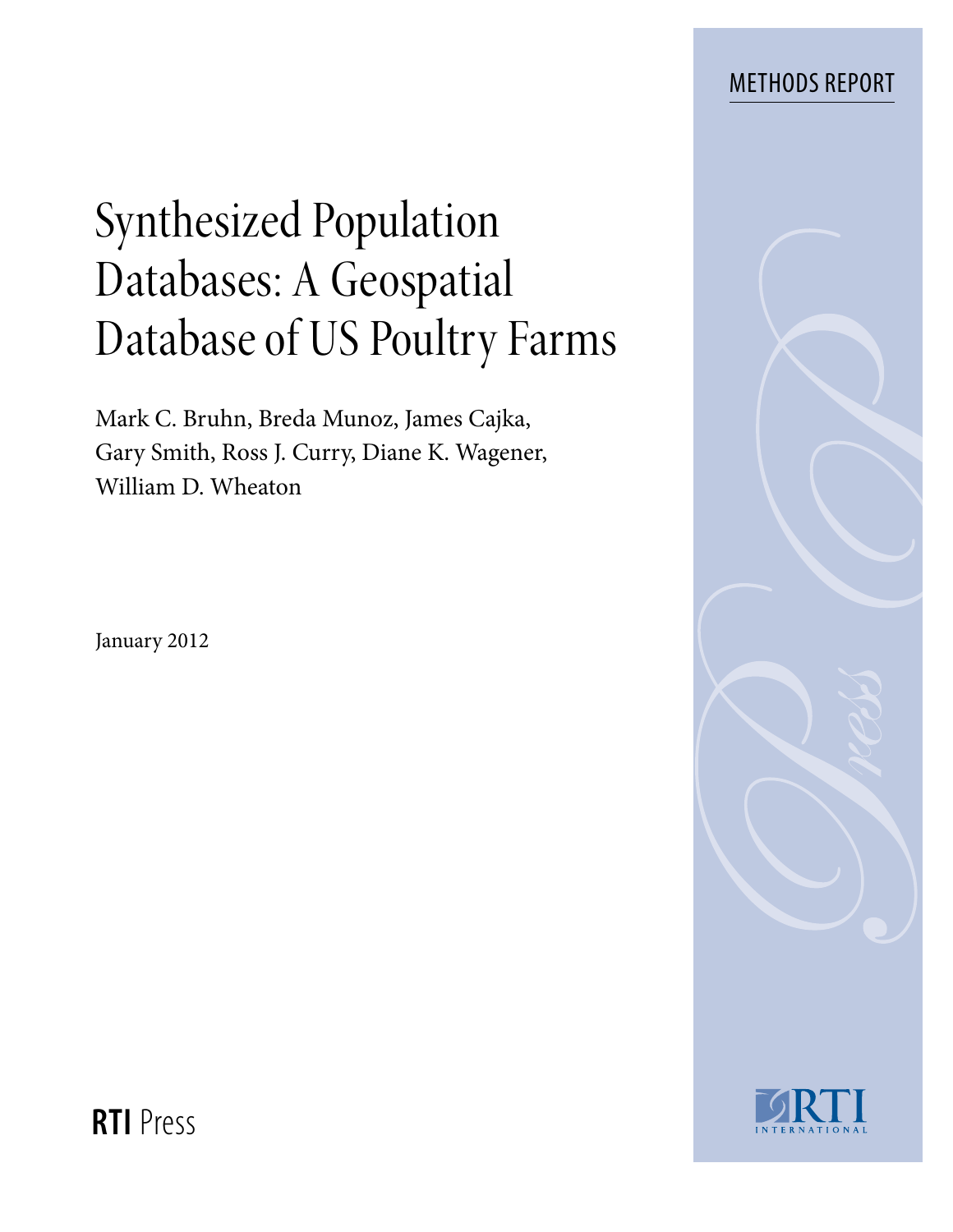# Methods Report

# Synthesized Population Databases: A Geospatial Database of US Poultry Farms

Mark C. Bruhn, Breda Munoz, James Cajka, Gary Smith, Ross J. Curry, Diane K. Wagener, William D. Wheaton

January 2012





**RTI** Press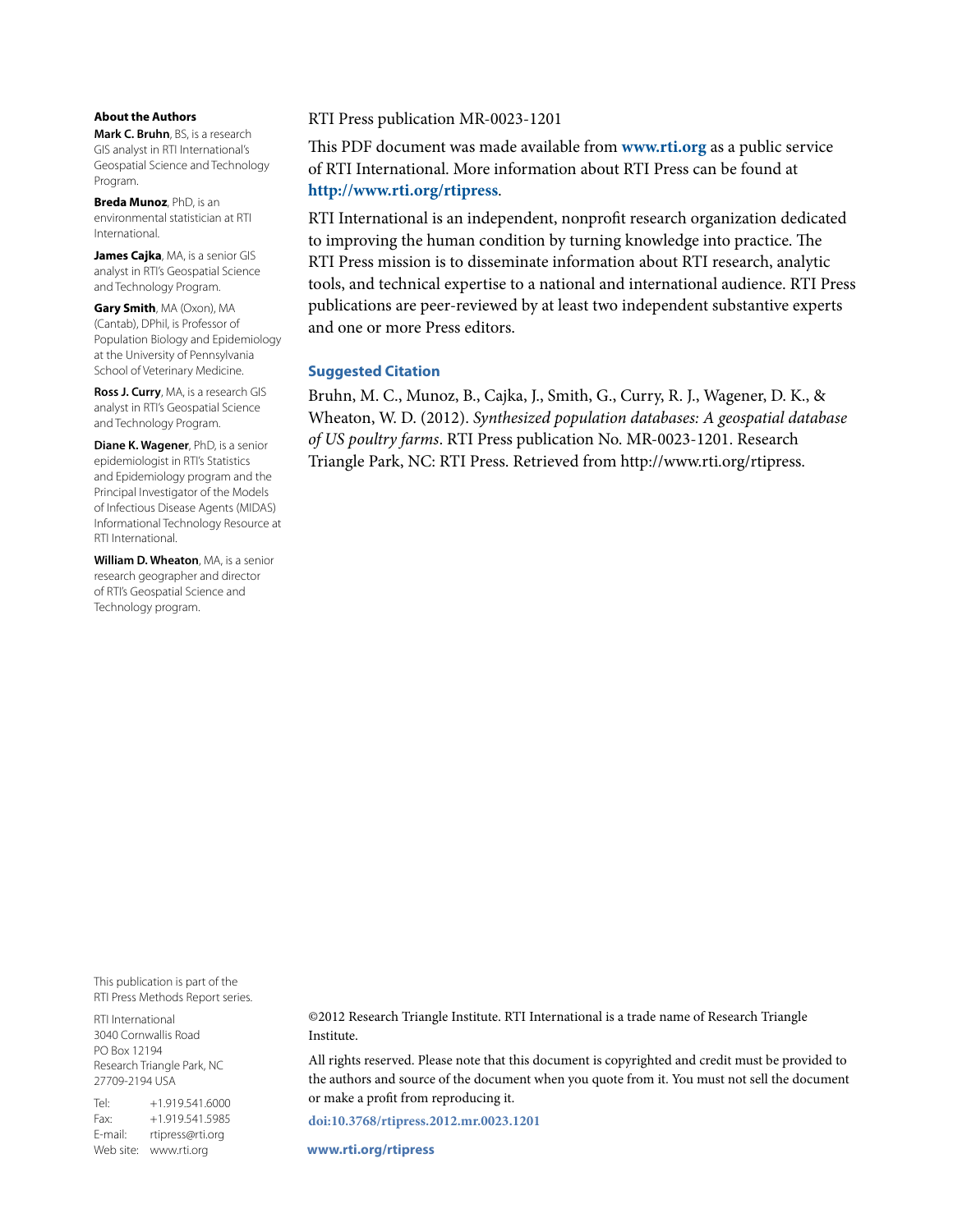#### **About the Authors**

**Mark C. Bruhn**, BS, is a research GIS analyst in RTI International's Geospatial Science and Technology Program.

**Breda Munoz**, PhD, is an environmental statistician at RTI International.

**James Cajka**, MA, is a senior GIS analyst in RTI's Geospatial Science and Technology Program.

**Gary Smith**, MA (Oxon), MA (Cantab), DPhil, is Professor of Population Biology and Epidemiology at the University of Pennsylvania School of Veterinary Medicine.

**Ross J. Curry**, MA, is a research GIS analyst in RTI's Geospatial Science and Technology Program.

**Diane K. Wagener**, PhD, is a senior epidemiologist in RTI's Statistics and Epidemiology program and the Principal Investigator of the Models of Infectious Disease Agents (MIDAS) Informational Technology Resource at RTI International.

**William D. Wheaton**, MA, is a senior research geographer and director of RTI's Geospatial Science and Technology program.

#### RTI Press publication MR-0023-1201

This PDF document was made available from **www.rti.org** as a public service of RTI International. More information about RTI Press can be found at **http://www.rti.org/rtipress**.

RTI International is an independent, nonprofit research organization dedicated to improving the human condition by turning knowledge into practice. The RTI Press mission is to disseminate information about RTI research, analytic tools, and technical expertise to a national and international audience. RTI Press publications are peer-reviewed by at least two independent substantive experts and one or more Press editors.

#### **Suggested Citation**

Bruhn, M. C., Munoz, B., Cajka, J., Smith, G., Curry, R. J., Wagener, D. K., & Wheaton, W. D. (2012). *Synthesized population databases: A geospatial database of US poultry farms*. RTI Press publication No. MR-0023-1201. Research Triangle Park, NC: RTI Press. Retrieved from http://www.rti.org/rtipress.

This publication is part of the RTI Press Methods Report series.

RTI International 3040 Cornwallis Road PO Box 12194 Research Triangle Park, NC 27709-2194 USA

Tel: +1.919.541.6000 Fax: +1.919.541.5985 E-mail: rtipress@rti.org Web site: www.rti.org

©2012 Research Triangle Institute. RTI International is a trade name of Research Triangle Institute.

All rights reserved. Please note that this document is copyrighted and credit must be provided to the authors and source of the document when you quote from it. You must not sell the document or make a profit from reproducing it.

**[doi:10.3768/rtipress.2012.mr.0023.1201](http://dx.doi.org/10.3768/rtipress.2012.mr.0023.1201)**

**www.rti.org/rtipress**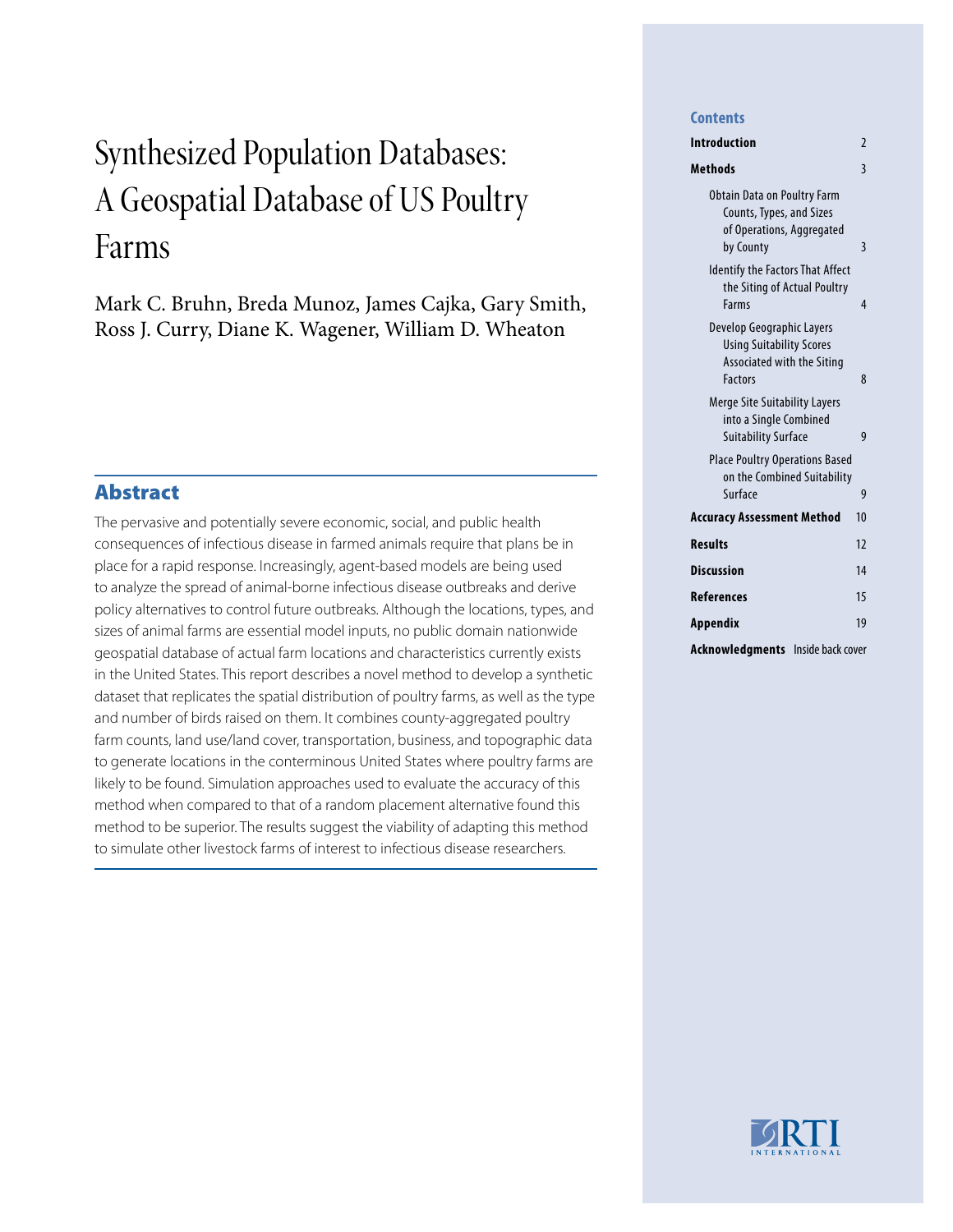# Synthesized Population Databases: A Geospatial Database of US Poultry Farms

Mark C. Bruhn, Breda Munoz, James Cajka, Gary Smith, Ross J. Curry, Diane K. Wagener, William D. Wheaton

# Abstract

The pervasive and potentially severe economic, social, and public health consequences of infectious disease in farmed animals require that plans be in place for a rapid response. Increasingly, agent-based models are being used to analyze the spread of animal-borne infectious disease outbreaks and derive policy alternatives to control future outbreaks. Although the locations, types, and sizes of animal farms are essential model inputs, no public domain nationwide geospatial database of actual farm locations and characteristics currently exists in the United States. This report describes a novel method to develop a synthetic dataset that replicates the spatial distribution of poultry farms, as well as the type and number of birds raised on them. It combines county-aggregated poultry farm counts, land use/land cover, transportation, business, and topographic data to generate locations in the conterminous United States where poultry farms are likely to be found. Simulation approaches used to evaluate the accuracy of this method when compared to that of a random placement alternative found this method to be superior. The results suggest the viability of adapting this method to simulate other livestock farms of interest to infectious disease researchers.

#### **Contents**

| Introduction                                                                                                 | $\overline{2}$ |
|--------------------------------------------------------------------------------------------------------------|----------------|
| Methods                                                                                                      | $\overline{3}$ |
| <b>Obtain Data on Poultry Farm</b><br>Counts, Types, and Sizes<br>of Operations, Aggregated<br>by County     | 3              |
| <b>Identify the Factors That Affect</b><br>the Siting of Actual Poultry<br>Farms                             | $\overline{4}$ |
| Develop Geographic Layers<br><b>Using Suitability Scores</b><br>Associated with the Siting<br><b>Factors</b> | 8              |
| Merge Site Suitability Layers<br>into a Single Combined<br><b>Suitability Surface</b>                        | 9              |
| <b>Place Poultry Operations Based</b><br>on the Combined Suitability<br>Surface                              | 9              |
| Accuracy Assessment Method                                                                                   | 10             |
|                                                                                                              |                |
| <b>Results</b>                                                                                               | 12             |
| Discussion                                                                                                   | 14             |
| References                                                                                                   | 15             |
| Appendix                                                                                                     | 19             |
| Acknowledgments<br>Inside back cover                                                                         |                |

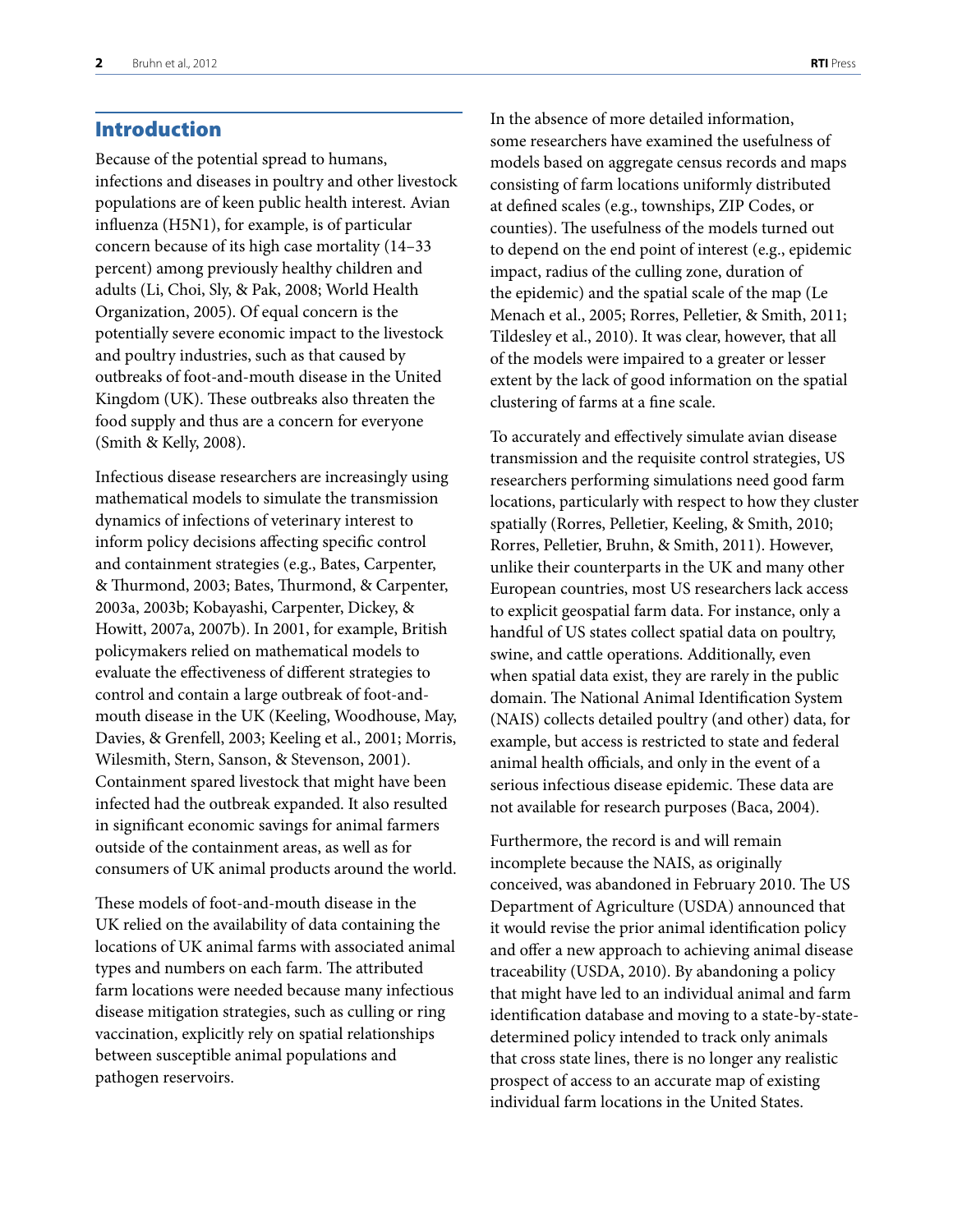# <span id="page-3-0"></span>Introduction

Because of the potential spread to humans, infections and diseases in poultry and other livestock populations are of keen public health interest. Avian influenza (H5N1), for example, is of particular concern because of its high case mortality (14–33 percent) among previously healthy children and adults (Li, Choi, Sly, & Pak, 2008; World Health Organization, 2005). Of equal concern is the potentially severe economic impact to the livestock and poultry industries, such as that caused by outbreaks of foot-and-mouth disease in the United Kingdom (UK). These outbreaks also threaten the food supply and thus are a concern for everyone (Smith & Kelly, 2008).

Infectious disease researchers are increasingly using mathematical models to simulate the transmission dynamics of infections of veterinary interest to inform policy decisions affecting specific control and containment strategies (e.g., Bates, Carpenter, & Thurmond, 2003; Bates, Thurmond, & Carpenter, 2003a, 2003b; Kobayashi, Carpenter, Dickey, & Howitt, 2007a, 2007b). In 2001, for example, British policymakers relied on mathematical models to evaluate the effectiveness of different strategies to control and contain a large outbreak of foot-andmouth disease in the UK (Keeling, Woodhouse, May, Davies, & Grenfell, 2003; Keeling et al., 2001; Morris, Wilesmith, Stern, Sanson, & Stevenson, 2001). Containment spared livestock that might have been infected had the outbreak expanded. It also resulted in significant economic savings for animal farmers outside of the containment areas, as well as for consumers of UK animal products around the world.

These models of foot-and-mouth disease in the UK relied on the availability of data containing the locations of UK animal farms with associated animal types and numbers on each farm. The attributed farm locations were needed because many infectious disease mitigation strategies, such as culling or ring vaccination, explicitly rely on spatial relationships between susceptible animal populations and pathogen reservoirs.

In the absence of more detailed information, some researchers have examined the usefulness of models based on aggregate census records and maps consisting of farm locations uniformly distributed at defined scales (e.g., townships, ZIP Codes, or counties). The usefulness of the models turned out to depend on the end point of interest (e.g., epidemic impact, radius of the culling zone, duration of the epidemic) and the spatial scale of the map (Le Menach et al., 2005; Rorres, Pelletier, & Smith, 2011; Tildesley et al., 2010). It was clear, however, that all of the models were impaired to a greater or lesser extent by the lack of good information on the spatial clustering of farms at a fine scale.

To accurately and effectively simulate avian disease transmission and the requisite control strategies, US researchers performing simulations need good farm locations, particularly with respect to how they cluster spatially (Rorres, Pelletier, Keeling, & Smith, 2010; Rorres, Pelletier, Bruhn, & Smith, 2011). However, unlike their counterparts in the UK and many other European countries, most US researchers lack access to explicit geospatial farm data. For instance, only a handful of US states collect spatial data on poultry, swine, and cattle operations. Additionally, even when spatial data exist, they are rarely in the public domain. The National Animal Identification System (NAIS) collects detailed poultry (and other) data, for example, but access is restricted to state and federal animal health officials, and only in the event of a serious infectious disease epidemic. These data are not available for research purposes (Baca, 2004).

Furthermore, the record is and will remain incomplete because the NAIS, as originally conceived, was abandoned in February 2010. The US Department of Agriculture (USDA) announced that it would revise the prior animal identification policy and offer a new approach to achieving animal disease traceability (USDA, 2010). By abandoning a policy that might have led to an individual animal and farm identification database and moving to a state-by-statedetermined policy intended to track only animals that cross state lines, there is no longer any realistic prospect of access to an accurate map of existing individual farm locations in the United States.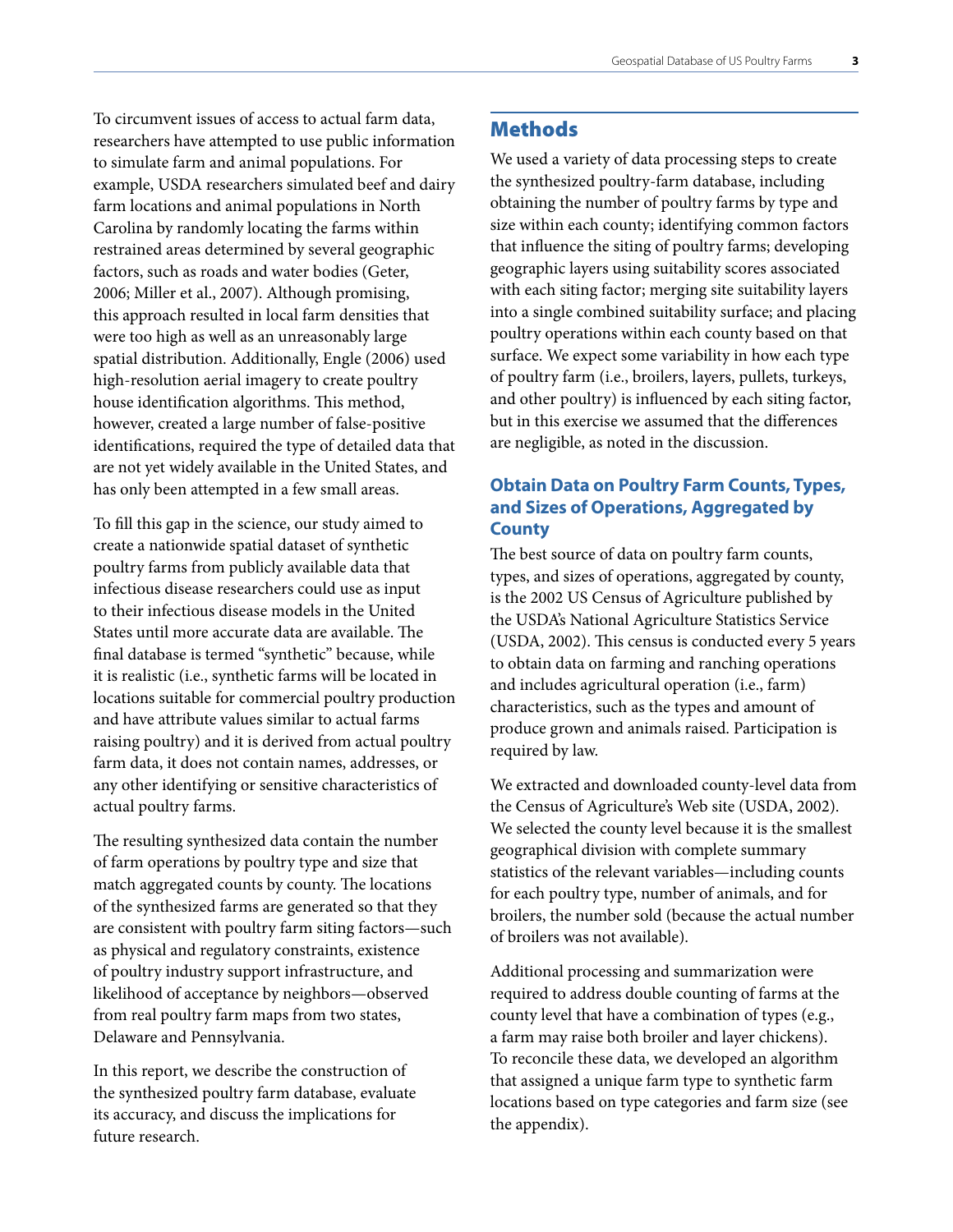<span id="page-4-0"></span>To circumvent issues of access to actual farm data, researchers have attempted to use public information to simulate farm and animal populations. For example, USDA researchers simulated beef and dairy farm locations and animal populations in North Carolina by randomly locating the farms within restrained areas determined by several geographic factors, such as roads and water bodies (Geter, 2006; Miller et al., 2007). Although promising, this approach resulted in local farm densities that were too high as well as an unreasonably large spatial distribution. Additionally, Engle (2006) used high-resolution aerial imagery to create poultry house identification algorithms. This method, however, created a large number of false-positive identifications, required the type of detailed data that are not yet widely available in the United States, and has only been attempted in a few small areas.

To fill this gap in the science, our study aimed to create a nationwide spatial dataset of synthetic poultry farms from publicly available data that infectious disease researchers could use as input to their infectious disease models in the United States until more accurate data are available. The final database is termed "synthetic" because, while it is realistic (i.e., synthetic farms will be located in locations suitable for commercial poultry production and have attribute values similar to actual farms raising poultry) and it is derived from actual poultry farm data, it does not contain names, addresses, or any other identifying or sensitive characteristics of actual poultry farms.

The resulting synthesized data contain the number of farm operations by poultry type and size that match aggregated counts by county. The locations of the synthesized farms are generated so that they are consistent with poultry farm siting factors—such as physical and regulatory constraints, existence of poultry industry support infrastructure, and likelihood of acceptance by neighbors—observed from real poultry farm maps from two states, Delaware and Pennsylvania.

In this report, we describe the construction of the synthesized poultry farm database, evaluate its accuracy, and discuss the implications for future research.

# **Methods**

We used a variety of data processing steps to create the synthesized poultry-farm database, including obtaining the number of poultry farms by type and size within each county; identifying common factors that influence the siting of poultry farms; developing geographic layers using suitability scores associated with each siting factor; merging site suitability layers into a single combined suitability surface; and placing poultry operations within each county based on that surface. We expect some variability in how each type of poultry farm (i.e., broilers, layers, pullets, turkeys, and other poultry) is influenced by each siting factor, but in this exercise we assumed that the differences are negligible, as noted in the discussion.

# **Obtain Data on Poultry Farm Counts, Types, and Sizes of Operations, Aggregated by County**

The best source of data on poultry farm counts, types, and sizes of operations, aggregated by county, is the 2002 US Census of Agriculture published by the USDA's National Agriculture Statistics Service (USDA, 2002). This census is conducted every 5 years to obtain data on farming and ranching operations and includes agricultural operation (i.e., farm) characteristics, such as the types and amount of produce grown and animals raised. Participation is required by law.

We extracted and downloaded county-level data from the Census of Agriculture's Web site (USDA, 2002). We selected the county level because it is the smallest geographical division with complete summary statistics of the relevant variables—including counts for each poultry type, number of animals, and for broilers, the number sold (because the actual number of broilers was not available).

Additional processing and summarization were required to address double counting of farms at the county level that have a combination of types (e.g., a farm may raise both broiler and layer chickens). To reconcile these data, we developed an algorithm that assigned a unique farm type to synthetic farm locations based on type categories and farm size (see the appendix).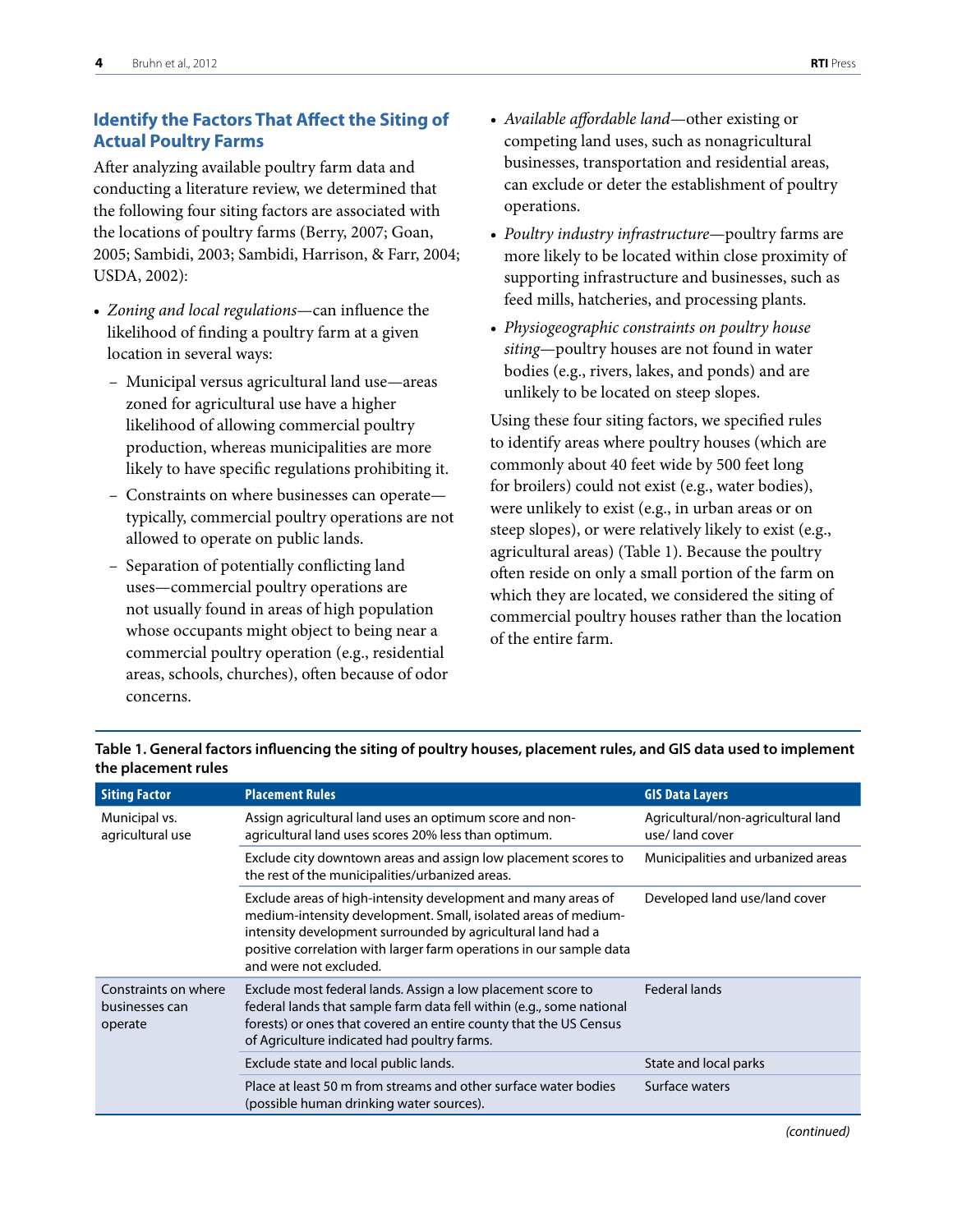# <span id="page-5-0"></span>**Identify the Factors That Affect the Siting of Actual Poultry Farms**

After analyzing available poultry farm data and conducting a literature review, we determined that the following four siting factors are associated with the locations of poultry farms (Berry, 2007; Goan, 2005; Sambidi, 2003; Sambidi, Harrison, & Farr, 2004; USDA, 2002):

- • *Zoning and local regulations*—can influence the likelihood of finding a poultry farm at a given location in several ways:
	- Municipal versus agricultural land use—areas zoned for agricultural use have a higher likelihood of allowing commercial poultry production, whereas municipalities are more likely to have specific regulations prohibiting it.
	- Constraints on where businesses can operate typically, commercial poultry operations are not allowed to operate on public lands.
	- Separation of potentially conflicting land uses—commercial poultry operations are not usually found in areas of high population whose occupants might object to being near a commercial poultry operation (e.g., residential areas, schools, churches), often because of odor concerns.
- • *Available affordable land*—other existing or competing land uses, such as nonagricultural businesses, transportation and residential areas, can exclude or deter the establishment of poultry operations.
- • *Poultry industry infrastructure*—poultry farms are more likely to be located within close proximity of supporting infrastructure and businesses, such as feed mills, hatcheries, and processing plants.
- • *Physiogeographic constraints on poultry house siting*—poultry houses are not found in water bodies (e.g., rivers, lakes, and ponds) and are unlikely to be located on steep slopes.

Using these four siting factors, we specified rules to identify areas where poultry houses (which are commonly about 40 feet wide by 500 feet long for broilers) could not exist (e.g., water bodies), were unlikely to exist (e.g., in urban areas or on steep slopes), or were relatively likely to exist (e.g., agricultural areas) (Table 1). Because the poultry often reside on only a small portion of the farm on which they are located, we considered the siting of commercial poultry houses rather than the location of the entire farm.

| <b>Siting Factor</b>                              | <b>Placement Rules</b>                                                                                                                                                                                                                                                                          | <b>GIS Data Layers</b>                               |
|---------------------------------------------------|-------------------------------------------------------------------------------------------------------------------------------------------------------------------------------------------------------------------------------------------------------------------------------------------------|------------------------------------------------------|
| Municipal vs.<br>agricultural use                 | Assign agricultural land uses an optimum score and non-<br>agricultural land uses scores 20% less than optimum.                                                                                                                                                                                 | Agricultural/non-agricultural land<br>use/land cover |
|                                                   | Exclude city downtown areas and assign low placement scores to<br>the rest of the municipalities/urbanized areas.                                                                                                                                                                               | Municipalities and urbanized areas                   |
|                                                   | Exclude areas of high-intensity development and many areas of<br>medium-intensity development. Small, isolated areas of medium-<br>intensity development surrounded by agricultural land had a<br>positive correlation with larger farm operations in our sample data<br>and were not excluded. | Developed land use/land cover                        |
| Constraints on where<br>businesses can<br>operate | Exclude most federal lands. Assign a low placement score to<br>federal lands that sample farm data fell within (e.g., some national<br>forests) or ones that covered an entire county that the US Census<br>of Agriculture indicated had poultry farms.                                         | <b>Federal lands</b>                                 |
|                                                   | Exclude state and local public lands.                                                                                                                                                                                                                                                           | State and local parks                                |
|                                                   | Place at least 50 m from streams and other surface water bodies<br>(possible human drinking water sources).                                                                                                                                                                                     | Surface waters                                       |

**Table 1. General factors influencing the siting of poultry houses, placement rules, and GIS data used to implement the placement rules**

*(continued)*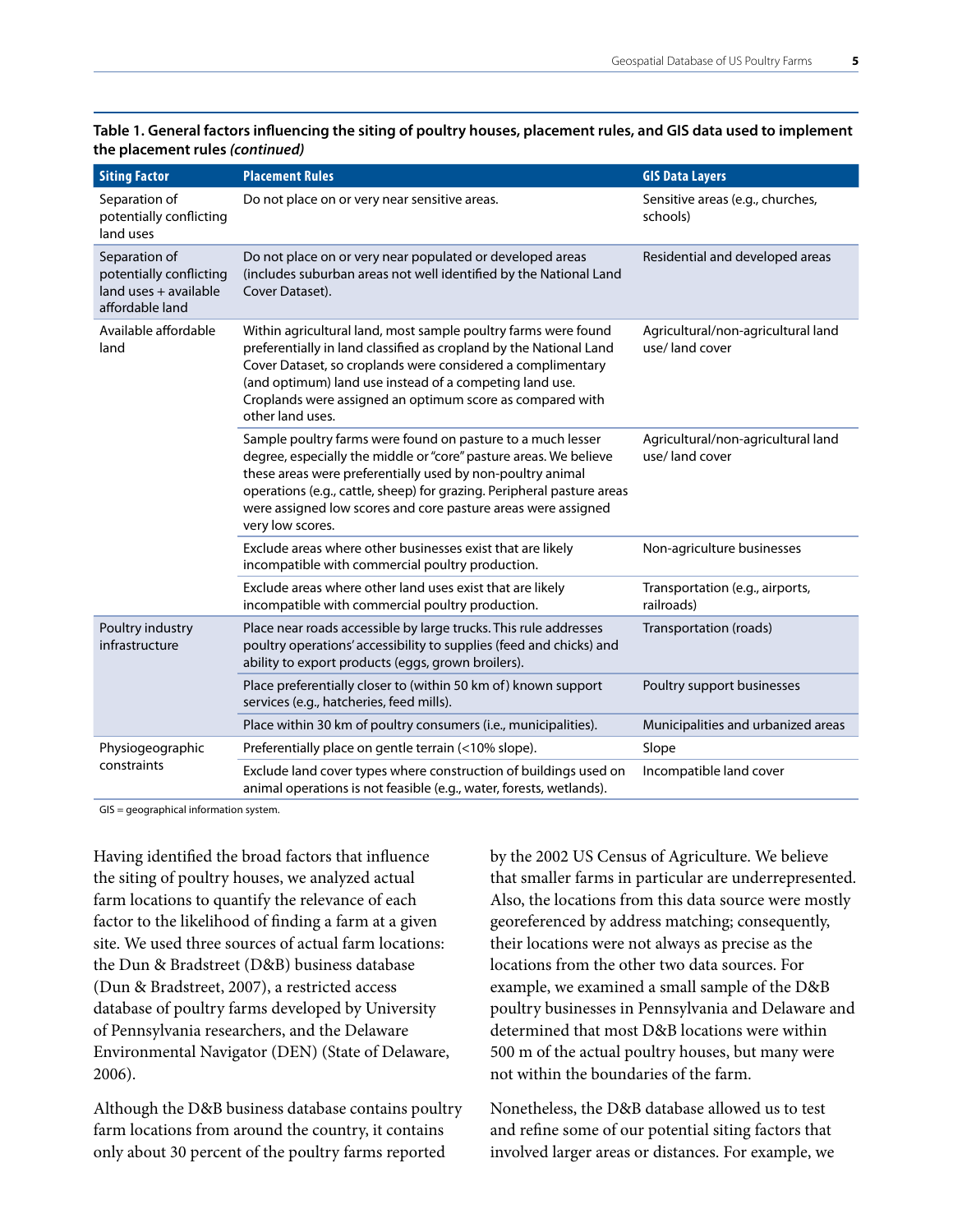| <b>Siting Factor</b>                                                                 | <b>Placement Rules</b>                                                                                                                                                                                                                                                                                                                                        | <b>GIS Data Layers</b>                               |
|--------------------------------------------------------------------------------------|---------------------------------------------------------------------------------------------------------------------------------------------------------------------------------------------------------------------------------------------------------------------------------------------------------------------------------------------------------------|------------------------------------------------------|
| Separation of<br>potentially conflicting<br>land uses                                | Do not place on or very near sensitive areas.                                                                                                                                                                                                                                                                                                                 | Sensitive areas (e.g., churches,<br>schools)         |
| Separation of<br>potentially conflicting<br>land uses + available<br>affordable land | Do not place on or very near populated or developed areas<br>(includes suburban areas not well identified by the National Land<br>Cover Dataset).                                                                                                                                                                                                             | Residential and developed areas                      |
| Available affordable<br>land                                                         | Within agricultural land, most sample poultry farms were found<br>preferentially in land classified as cropland by the National Land<br>Cover Dataset, so croplands were considered a complimentary<br>(and optimum) land use instead of a competing land use.<br>Croplands were assigned an optimum score as compared with<br>other land uses.               | Agricultural/non-agricultural land<br>use/land cover |
|                                                                                      | Sample poultry farms were found on pasture to a much lesser<br>degree, especially the middle or "core" pasture areas. We believe<br>these areas were preferentially used by non-poultry animal<br>operations (e.g., cattle, sheep) for grazing. Peripheral pasture areas<br>were assigned low scores and core pasture areas were assigned<br>very low scores. | Agricultural/non-agricultural land<br>use/land cover |
|                                                                                      | Exclude areas where other businesses exist that are likely<br>incompatible with commercial poultry production.                                                                                                                                                                                                                                                | Non-agriculture businesses                           |
|                                                                                      | Exclude areas where other land uses exist that are likely<br>incompatible with commercial poultry production.                                                                                                                                                                                                                                                 | Transportation (e.g., airports,<br>railroads)        |
| Poultry industry<br>infrastructure                                                   | Place near roads accessible by large trucks. This rule addresses<br>poultry operations' accessibility to supplies (feed and chicks) and<br>ability to export products (eggs, grown broilers).                                                                                                                                                                 | Transportation (roads)                               |
|                                                                                      | Place preferentially closer to (within 50 km of) known support<br>services (e.g., hatcheries, feed mills).                                                                                                                                                                                                                                                    | Poultry support businesses                           |
|                                                                                      | Place within 30 km of poultry consumers (i.e., municipalities).                                                                                                                                                                                                                                                                                               | Municipalities and urbanized areas                   |
| Physiogeographic                                                                     | Preferentially place on gentle terrain (<10% slope).                                                                                                                                                                                                                                                                                                          | Slope                                                |
| constraints                                                                          | Exclude land cover types where construction of buildings used on<br>animal operations is not feasible (e.g., water, forests, wetlands).                                                                                                                                                                                                                       | Incompatible land cover                              |

**Table 1. General factors influencing the siting of poultry houses, placement rules, and GIS data used to implement the placement rules** *(continued)*

GIS = geographical information system.

Having identified the broad factors that influence the siting of poultry houses, we analyzed actual farm locations to quantify the relevance of each factor to the likelihood of finding a farm at a given site. We used three sources of actual farm locations: the Dun & Bradstreet (D&B) business database (Dun & Bradstreet, 2007), a restricted access database of poultry farms developed by University of Pennsylvania researchers, and the Delaware Environmental Navigator (DEN) (State of Delaware, 2006).

Although the D&B business database contains poultry farm locations from around the country, it contains only about 30 percent of the poultry farms reported

by the 2002 US Census of Agriculture. We believe that smaller farms in particular are underrepresented. Also, the locations from this data source were mostly georeferenced by address matching; consequently, their locations were not always as precise as the locations from the other two data sources. For example, we examined a small sample of the D&B poultry businesses in Pennsylvania and Delaware and determined that most D&B locations were within 500 m of the actual poultry houses, but many were not within the boundaries of the farm.

Nonetheless, the D&B database allowed us to test and refine some of our potential siting factors that involved larger areas or distances. For example, we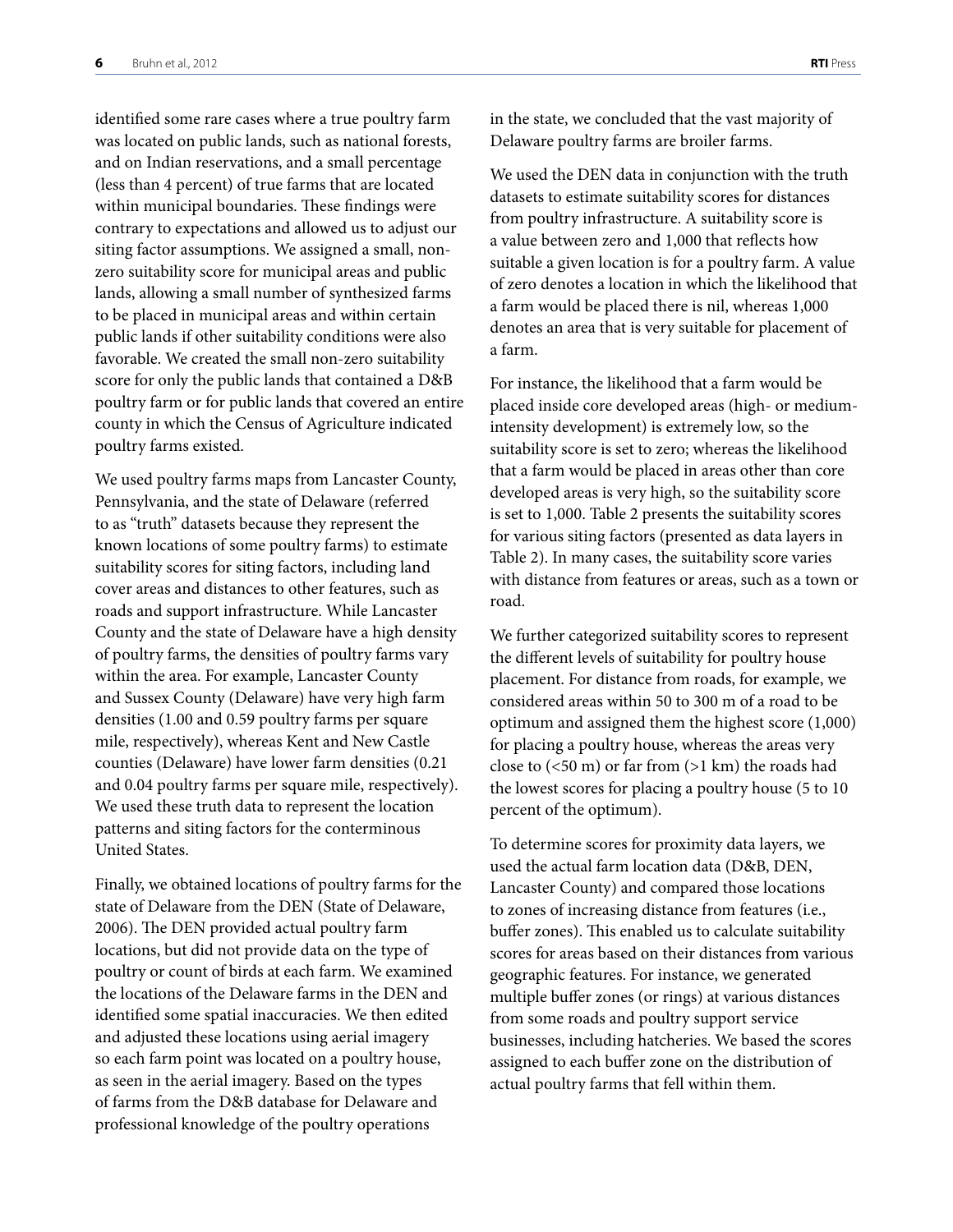identified some rare cases where a true poultry farm was located on public lands, such as national forests, and on Indian reservations, and a small percentage (less than 4 percent) of true farms that are located within municipal boundaries. These findings were contrary to expectations and allowed us to adjust our siting factor assumptions. We assigned a small, nonzero suitability score for municipal areas and public lands, allowing a small number of synthesized farms to be placed in municipal areas and within certain public lands if other suitability conditions were also favorable. We created the small non-zero suitability score for only the public lands that contained a D&B poultry farm or for public lands that covered an entire county in which the Census of Agriculture indicated poultry farms existed.

We used poultry farms maps from Lancaster County, Pennsylvania, and the state of Delaware (referred to as "truth" datasets because they represent the known locations of some poultry farms) to estimate suitability scores for siting factors, including land cover areas and distances to other features, such as roads and support infrastructure. While Lancaster County and the state of Delaware have a high density of poultry farms, the densities of poultry farms vary within the area. For example, Lancaster County and Sussex County (Delaware) have very high farm densities (1.00 and 0.59 poultry farms per square mile, respectively), whereas Kent and New Castle counties (Delaware) have lower farm densities (0.21 and 0.04 poultry farms per square mile, respectively). We used these truth data to represent the location patterns and siting factors for the conterminous United States.

Finally, we obtained locations of poultry farms for the state of Delaware from the DEN (State of Delaware, 2006). The DEN provided actual poultry farm locations, but did not provide data on the type of poultry or count of birds at each farm. We examined the locations of the Delaware farms in the DEN and identified some spatial inaccuracies. We then edited and adjusted these locations using aerial imagery so each farm point was located on a poultry house, as seen in the aerial imagery. Based on the types of farms from the D&B database for Delaware and professional knowledge of the poultry operations

in the state, we concluded that the vast majority of Delaware poultry farms are broiler farms.

We used the DEN data in conjunction with the truth datasets to estimate suitability scores for distances from poultry infrastructure. A suitability score is a value between zero and 1,000 that reflects how suitable a given location is for a poultry farm. A value of zero denotes a location in which the likelihood that a farm would be placed there is nil, whereas 1,000 denotes an area that is very suitable for placement of a farm.

For instance, the likelihood that a farm would be placed inside core developed areas (high- or mediumintensity development) is extremely low, so the suitability score is set to zero; whereas the likelihood that a farm would be placed in areas other than core developed areas is very high, so the suitability score is set to 1,000. Table 2 presents the suitability scores for various siting factors (presented as data layers in Table 2). In many cases, the suitability score varies with distance from features or areas, such as a town or road.

We further categorized suitability scores to represent the different levels of suitability for poultry house placement. For distance from roads, for example, we considered areas within 50 to 300 m of a road to be optimum and assigned them the highest score (1,000) for placing a poultry house, whereas the areas very close to  $(<50 \text{ m})$  or far from  $(>1 \text{ km})$  the roads had the lowest scores for placing a poultry house (5 to 10 percent of the optimum).

To determine scores for proximity data layers, we used the actual farm location data (D&B, DEN, Lancaster County) and compared those locations to zones of increasing distance from features (i.e., buffer zones). This enabled us to calculate suitability scores for areas based on their distances from various geographic features. For instance, we generated multiple buffer zones (or rings) at various distances from some roads and poultry support service businesses, including hatcheries. We based the scores assigned to each buffer zone on the distribution of actual poultry farms that fell within them.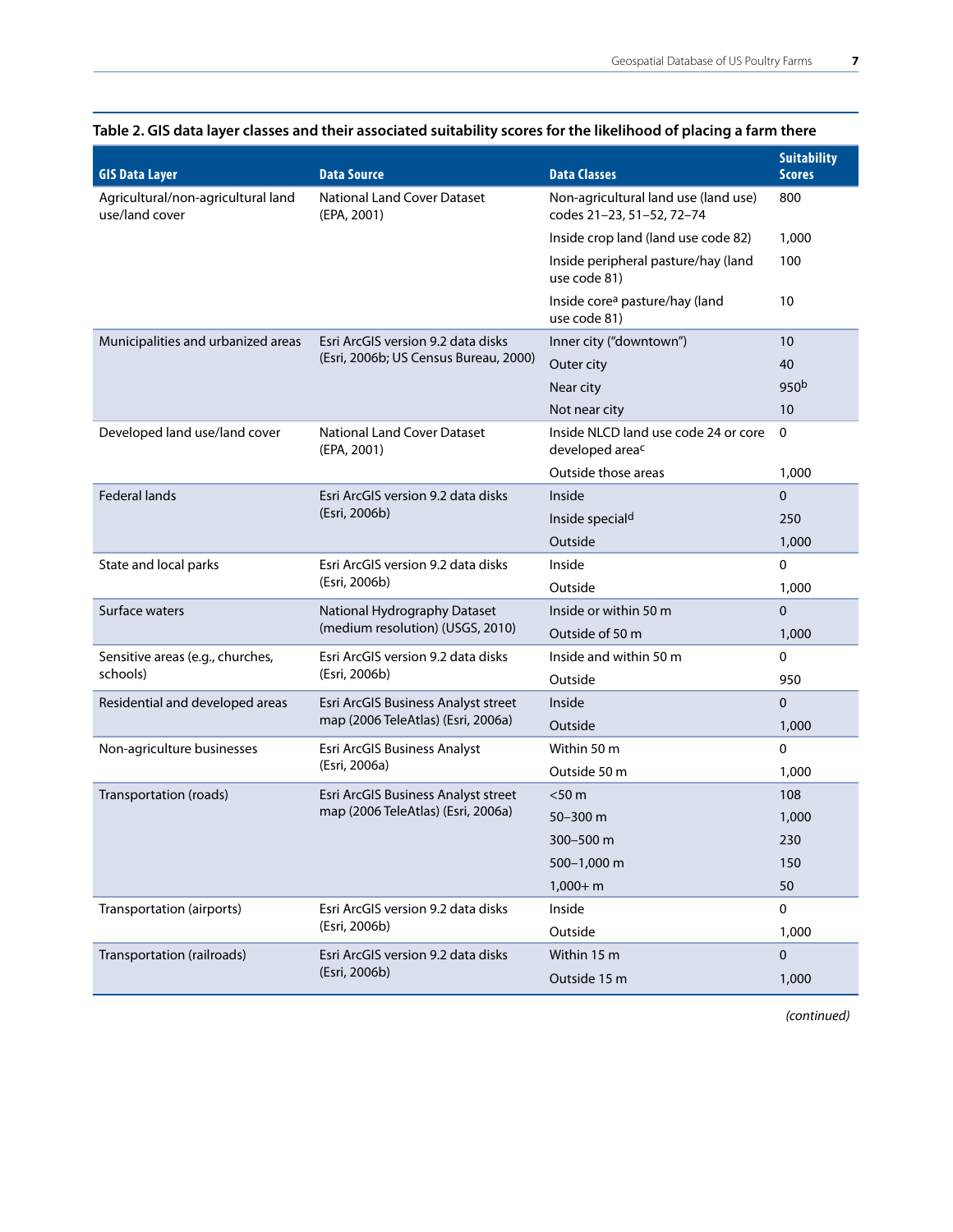| <b>GIS Data Layer</b>                                | <b>Data Source</b>                                | <b>Data Classes</b>                                               | <b>Suitability</b><br><b>Scores</b> |
|------------------------------------------------------|---------------------------------------------------|-------------------------------------------------------------------|-------------------------------------|
| Agricultural/non-agricultural land<br>use/land cover | <b>National Land Cover Dataset</b><br>(EPA, 2001) | Non-agricultural land use (land use)<br>codes 21-23, 51-52, 72-74 | 800                                 |
|                                                      |                                                   | Inside crop land (land use code 82)                               | 1,000                               |
|                                                      |                                                   | Inside peripheral pasture/hay (land<br>use code 81)               | 100                                 |
|                                                      |                                                   | Inside core <sup>a</sup> pasture/hay (land<br>use code 81)        | 10                                  |
| Municipalities and urbanized areas                   | Esri ArcGIS version 9.2 data disks                | Inner city ("downtown")                                           | 10                                  |
|                                                      | (Esri, 2006b; US Census Bureau, 2000)             | Outer city                                                        | 40                                  |
|                                                      |                                                   | Near city                                                         | 950 <sup>b</sup>                    |
|                                                      |                                                   | Not near city                                                     | 10                                  |
| Developed land use/land cover                        | <b>National Land Cover Dataset</b><br>(EPA, 2001) | Inside NLCD land use code 24 or core<br>developed areac           | $\mathbf 0$                         |
|                                                      |                                                   | Outside those areas                                               | 1,000                               |
| <b>Federal lands</b>                                 | Esri ArcGIS version 9.2 data disks                | Inside                                                            | 0                                   |
|                                                      | (Esri, 2006b)                                     | Inside speciald                                                   | 250                                 |
|                                                      |                                                   | Outside                                                           | 1,000                               |
| State and local parks                                | Esri ArcGIS version 9.2 data disks                | Inside                                                            | 0                                   |
|                                                      | (Esri, 2006b)                                     | Outside                                                           | 1,000                               |
| Surface waters                                       | National Hydrography Dataset                      | Inside or within 50 m                                             | 0                                   |
|                                                      | (medium resolution) (USGS, 2010)                  | Outside of 50 m                                                   | 1,000                               |
| Sensitive areas (e.g., churches,                     | Esri ArcGIS version 9.2 data disks                | Inside and within 50 m                                            | 0                                   |
| schools)                                             | (Esri, 2006b)                                     | Outside                                                           | 950                                 |
| Residential and developed areas                      | Esri ArcGIS Business Analyst street               | Inside                                                            | 0                                   |
|                                                      | map (2006 TeleAtlas) (Esri, 2006a)                | Outside                                                           | 1,000                               |
| Non-agriculture businesses                           | Esri ArcGIS Business Analyst                      | Within 50 m                                                       | 0                                   |
|                                                      | (Esri, 2006a)                                     | Outside 50 m                                                      | 1,000                               |
| Transportation (roads)                               | Esri ArcGIS Business Analyst street               | $<$ 50 m                                                          | 108                                 |
|                                                      | map (2006 TeleAtlas) (Esri, 2006a)                | $50 - 300$ m                                                      | 1,000                               |
|                                                      |                                                   | 300-500 m                                                         | 230                                 |
|                                                      |                                                   | 500-1,000 m                                                       | 150                                 |
|                                                      |                                                   | $1,000 + m$                                                       | 50                                  |
| Transportation (airports)                            | Esri ArcGIS version 9.2 data disks                | Inside                                                            | 0                                   |
|                                                      | (Esri, 2006b)                                     | Outside                                                           | 1,000                               |
| Transportation (railroads)                           | Esri ArcGIS version 9.2 data disks                | Within 15 m                                                       | 0                                   |
|                                                      | (Esri, 2006b)                                     | Outside 15 m                                                      | 1,000                               |
|                                                      |                                                   |                                                                   |                                     |

# **Table 2. GIS data layer classes and their associated suitability scores for the likelihood of placing a farm there**

*(continued)*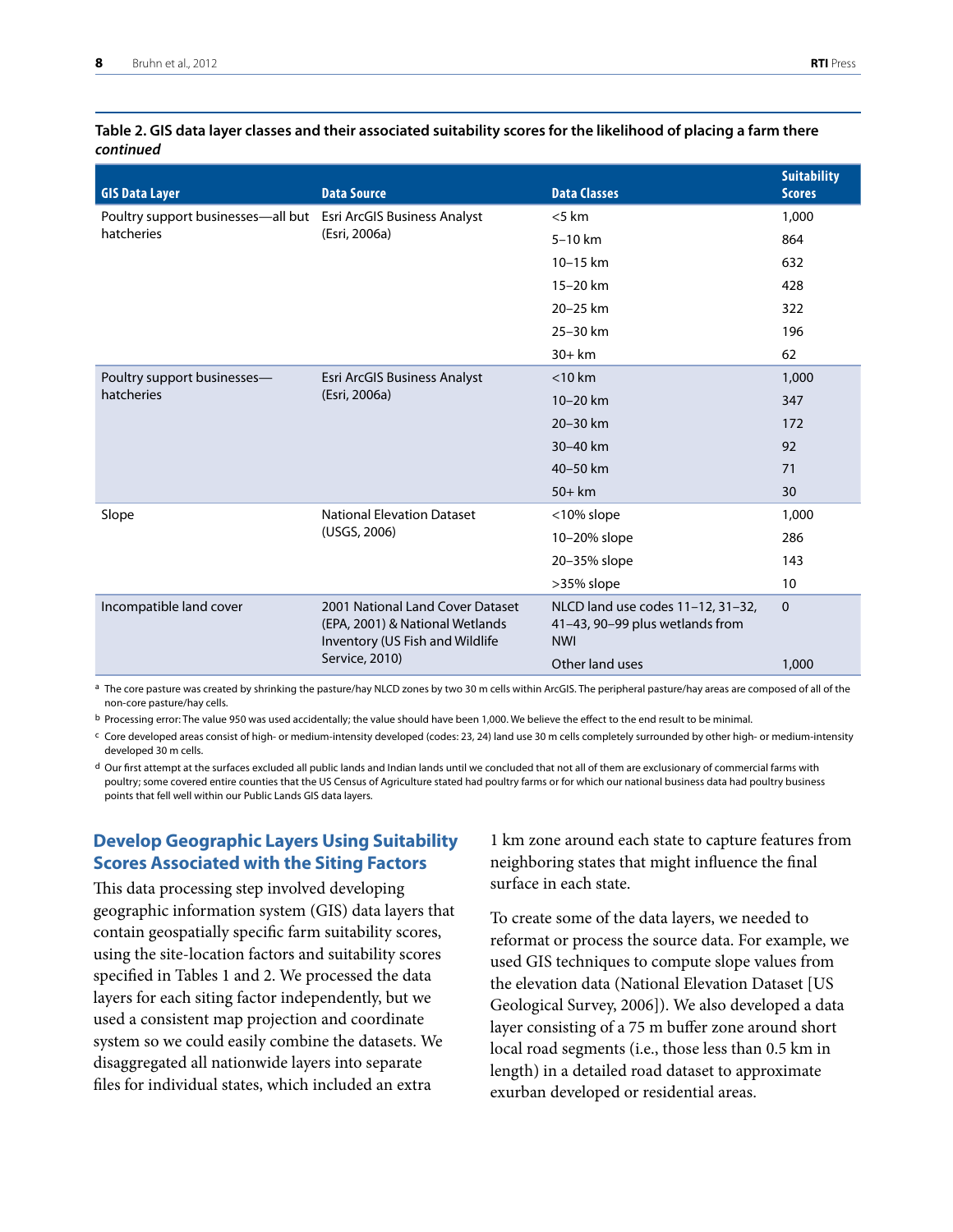#### <span id="page-9-0"></span>**Table 2. GIS data layer classes and their associated suitability scores for the likelihood of placing a farm there**  *continued*

| <b>GIS Data Layer</b>                                           | <b>Data Source</b>                                                                                     | <b>Data Classes</b>                                                                | <b>Suitability</b><br><b>Scores</b> |
|-----------------------------------------------------------------|--------------------------------------------------------------------------------------------------------|------------------------------------------------------------------------------------|-------------------------------------|
| Poultry support businesses-all but Esri ArcGIS Business Analyst |                                                                                                        | < 5 km                                                                             | 1,000                               |
| hatcheries                                                      | (Esri, 2006a)                                                                                          | $5-10$ km                                                                          | 864                                 |
|                                                                 |                                                                                                        | $10 - 15$ km                                                                       | 632                                 |
|                                                                 |                                                                                                        | 15-20 km                                                                           | 428                                 |
|                                                                 |                                                                                                        | 20-25 km                                                                           | 322                                 |
|                                                                 |                                                                                                        | 25-30 km                                                                           | 196                                 |
|                                                                 |                                                                                                        | $30+km$                                                                            | 62                                  |
| Poultry support businesses-                                     | Esri ArcGIS Business Analyst                                                                           | $<$ 10 km                                                                          | 1,000                               |
| hatcheries                                                      | (Esri, 2006a)                                                                                          | $10 - 20$ km                                                                       | 347                                 |
|                                                                 |                                                                                                        | 20-30 km                                                                           | 172                                 |
|                                                                 |                                                                                                        | 30-40 km                                                                           | 92                                  |
|                                                                 |                                                                                                        | 40-50 km                                                                           | 71                                  |
|                                                                 |                                                                                                        | $50+km$                                                                            | 30                                  |
| Slope                                                           | <b>National Elevation Dataset</b>                                                                      | <10% slope                                                                         | 1,000                               |
|                                                                 | (USGS, 2006)                                                                                           | 10-20% slope                                                                       | 286                                 |
|                                                                 |                                                                                                        | 20-35% slope                                                                       | 143                                 |
|                                                                 |                                                                                                        | >35% slope                                                                         | 10                                  |
| Incompatible land cover                                         | 2001 National Land Cover Dataset<br>(EPA, 2001) & National Wetlands<br>Inventory (US Fish and Wildlife | NLCD land use codes 11-12, 31-32,<br>41-43, 90-99 plus wetlands from<br><b>NWI</b> | $\mathbf 0$                         |
|                                                                 | Service, 2010)                                                                                         | Other land uses                                                                    | 1,000                               |

a The core pasture was created by shrinking the pasture/hay NLCD zones by two 30 m cells within ArcGIS. The peripheral pasture/hay areas are composed of all of the non-core pasture/hay cells.

b Processing error: The value 950 was used accidentally; the value should have been 1,000. We believe the effect to the end result to be minimal.

c Core developed areas consist of high- or medium-intensity developed (codes: 23, 24) land use 30 m cells completely surrounded by other high- or medium-intensity developed 30 m cells.

 $d$  Our first attempt at the surfaces excluded all public lands and Indian lands until we concluded that not all of them are exclusionary of commercial farms with poultry; some covered entire counties that the US Census of Agriculture stated had poultry farms or for which our national business data had poultry business points that fell well within our Public Lands GIS data layers.

### **Develop Geographic Layers Using Suitability Scores Associated with the Siting Factors**

This data processing step involved developing geographic information system (GIS) data layers that contain geospatially specific farm suitability scores, using the site-location factors and suitability scores specified in Tables 1 and 2. We processed the data layers for each siting factor independently, but we used a consistent map projection and coordinate system so we could easily combine the datasets. We disaggregated all nationwide layers into separate files for individual states, which included an extra

1 km zone around each state to capture features from neighboring states that might influence the final surface in each state.

To create some of the data layers, we needed to reformat or process the source data. For example, we used GIS techniques to compute slope values from the elevation data (National Elevation Dataset [US Geological Survey, 2006]). We also developed a data layer consisting of a 75 m buffer zone around short local road segments (i.e., those less than 0.5 km in length) in a detailed road dataset to approximate exurban developed or residential areas.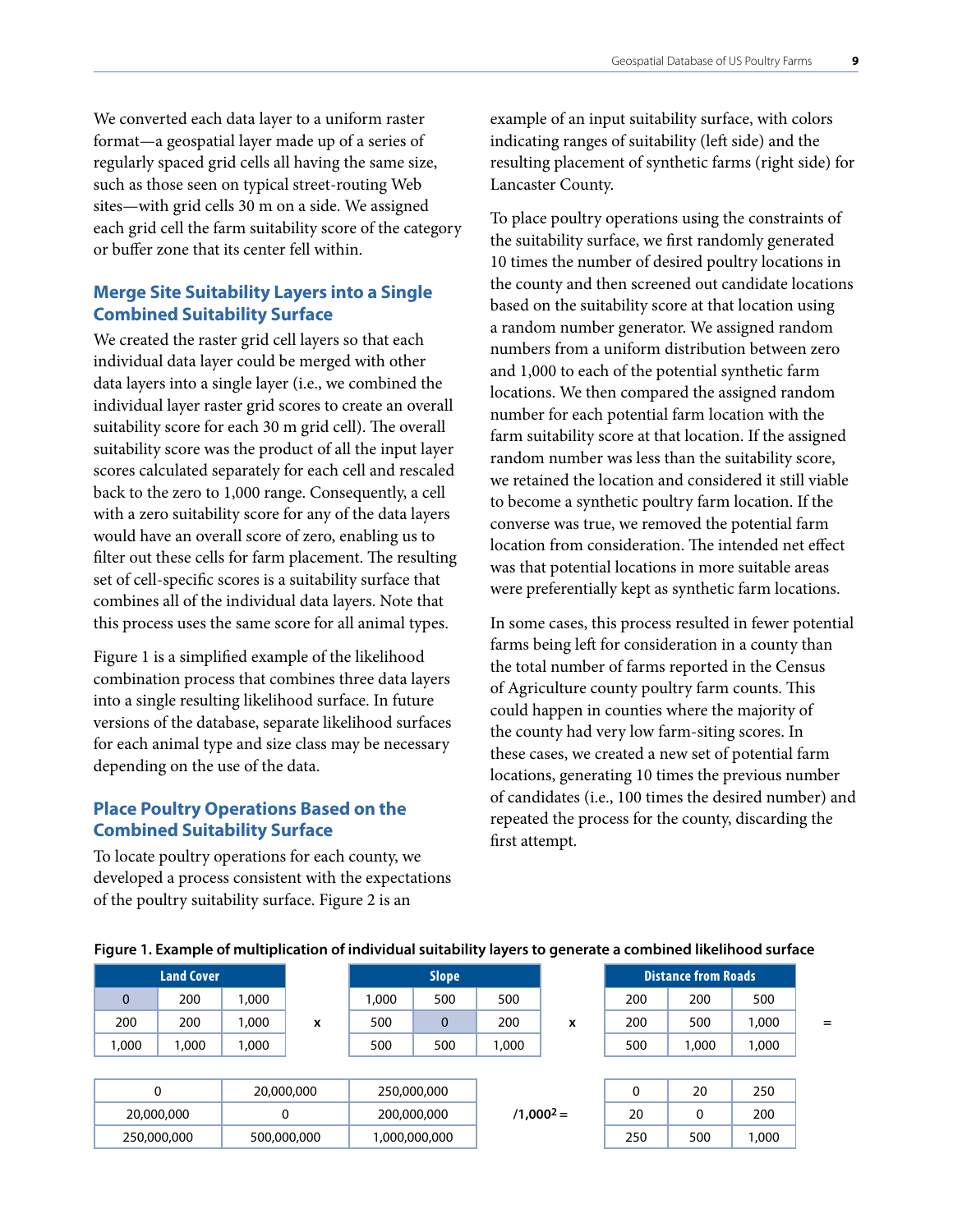<span id="page-10-0"></span>We converted each data layer to a uniform raster format—a geospatial layer made up of a series of regularly spaced grid cells all having the same size, such as those seen on typical street-routing Web sites—with grid cells 30 m on a side. We assigned each grid cell the farm suitability score of the category or buffer zone that its center fell within.

# **Merge Site Suitability Layers into a Single Combined Suitability Surface**

We created the raster grid cell layers so that each individual data layer could be merged with other data layers into a single layer (i.e., we combined the individual layer raster grid scores to create an overall suitability score for each 30 m grid cell). The overall suitability score was the product of all the input layer scores calculated separately for each cell and rescaled back to the zero to 1,000 range. Consequently, a cell with a zero suitability score for any of the data layers would have an overall score of zero, enabling us to filter out these cells for farm placement. The resulting set of cell-specific scores is a suitability surface that combines all of the individual data layers. Note that this process uses the same score for all animal types.

Figure 1 is a simplified example of the likelihood combination process that combines three data layers into a single resulting likelihood surface. In future versions of the database, separate likelihood surfaces for each animal type and size class may be necessary depending on the use of the data.

#### **Place Poultry Operations Based on the Combined Suitability Surface**

To locate poultry operations for each county, we developed a process consistent with the expectations of the poultry suitability surface. Figure 2 is an

example of an input suitability surface, with colors indicating ranges of suitability (left side) and the resulting placement of synthetic farms (right side) for Lancaster County.

To place poultry operations using the constraints of the suitability surface, we first randomly generated 10 times the number of desired poultry locations in the county and then screened out candidate locations based on the suitability score at that location using a random number generator. We assigned random numbers from a uniform distribution between zero and 1,000 to each of the potential synthetic farm locations. We then compared the assigned random number for each potential farm location with the farm suitability score at that location. If the assigned random number was less than the suitability score, we retained the location and considered it still viable to become a synthetic poultry farm location. If the converse was true, we removed the potential farm location from consideration. The intended net effect was that potential locations in more suitable areas were preferentially kept as synthetic farm locations.

In some cases, this process resulted in fewer potential farms being left for consideration in a county than the total number of farms reported in the Census of Agriculture county poultry farm counts. This could happen in counties where the majority of the county had very low farm-siting scores. In these cases, we created a new set of potential farm locations, generating 10 times the previous number of candidates (i.e., 100 times the desired number) and repeated the process for the county, discarding the first attempt.

|             | <b>Land Cover</b> |       |             |       | <b>Slope</b>  |       |              |              | <b>Distance from Roads</b> |       |
|-------------|-------------------|-------|-------------|-------|---------------|-------|--------------|--------------|----------------------------|-------|
| $\mathbf 0$ | 200               | 1,000 |             | 1,000 | 500           | 500   |              | 200          | 200                        | 500   |
| 200         | 200               | 1,000 | x           | 500   | $\Omega$      | 200   | x            | 200          | 500                        | 1,000 |
| 1,000       | 1,000             | 1,000 |             | 500   | 500           | 1,000 |              | 500          | 1,000                      | 1,000 |
|             |                   |       |             |       |               |       |              |              |                            |       |
|             | 0                 |       | 20,000,000  |       | 250,000,000   |       |              | $\mathbf{0}$ | 20                         | 250   |
|             | 20,000,000        |       | 0           |       | 200,000,000   |       | $/1,000^2 =$ | 20           | 0                          | 200   |
|             | 250,000,000       |       | 500,000,000 |       | 1,000,000,000 |       |              | 250          | 500                        | 1,000 |

#### **Figure 1. Example of multiplication of individual suitability layers to generate a combined likelihood surface**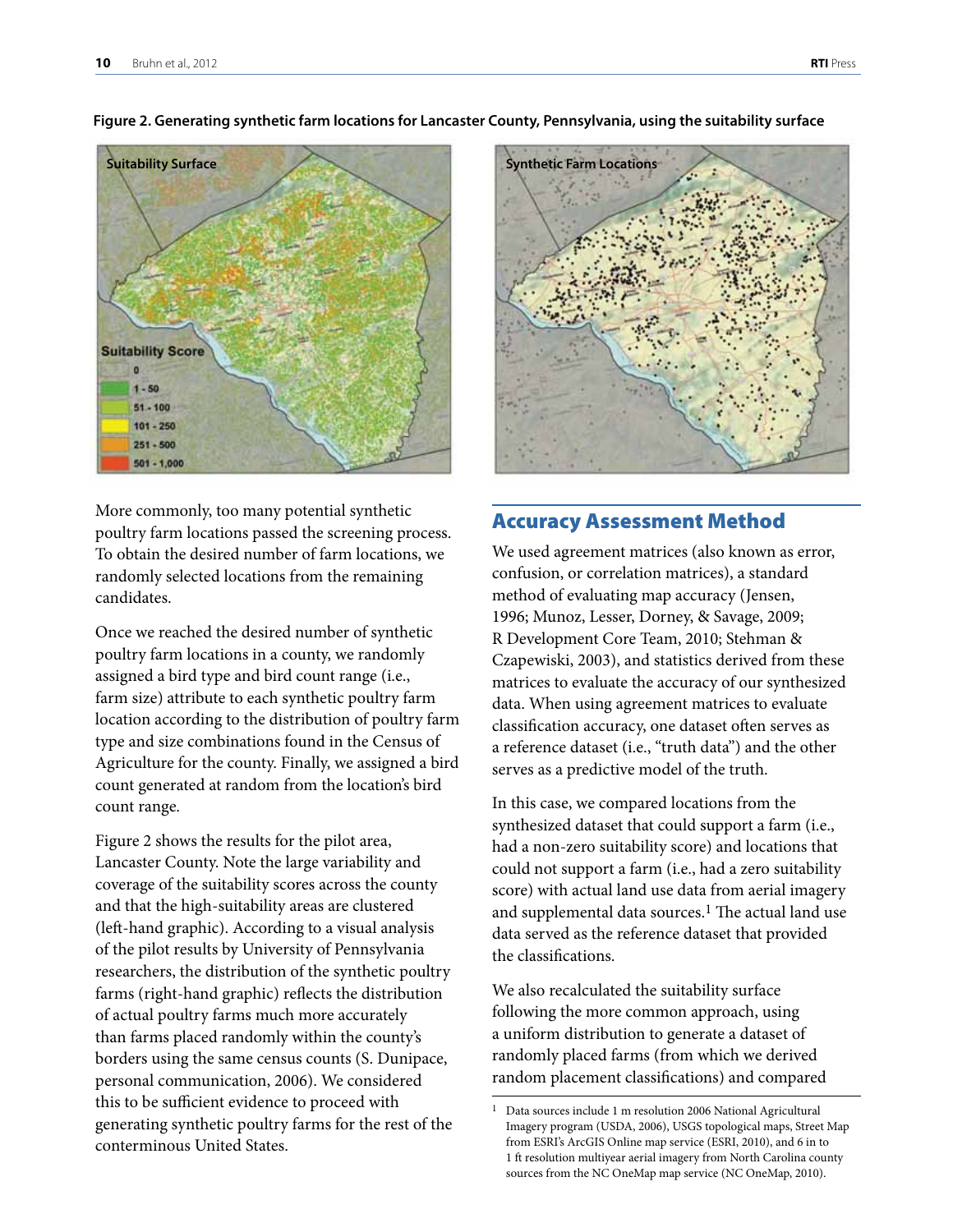

<span id="page-11-0"></span>**Figure 2. Generating synthetic farm locations for Lancaster County, Pennsylvania, using the suitability surface**

More commonly, too many potential synthetic poultry farm locations passed the screening process. To obtain the desired number of farm locations, we randomly selected locations from the remaining candidates.

Once we reached the desired number of synthetic poultry farm locations in a county, we randomly assigned a bird type and bird count range (i.e., farm size) attribute to each synthetic poultry farm location according to the distribution of poultry farm type and size combinations found in the Census of Agriculture for the county. Finally, we assigned a bird count generated at random from the location's bird count range.

Figure 2 shows the results for the pilot area, Lancaster County. Note the large variability and coverage of the suitability scores across the county and that the high-suitability areas are clustered (left-hand graphic). According to a visual analysis of the pilot results by University of Pennsylvania researchers, the distribution of the synthetic poultry farms (right-hand graphic) reflects the distribution of actual poultry farms much more accurately than farms placed randomly within the county's borders using the same census counts (S. Dunipace, personal communication, 2006). We considered this to be sufficient evidence to proceed with generating synthetic poultry farms for the rest of the conterminous United States.



#### Accuracy Assessment Method

We used agreement matrices (also known as error, confusion, or correlation matrices), a standard method of evaluating map accuracy (Jensen, 1996; Munoz, Lesser, Dorney, & Savage, 2009; R Development Core Team, 2010; Stehman & Czapewiski, 2003), and statistics derived from these matrices to evaluate the accuracy of our synthesized data. When using agreement matrices to evaluate classification accuracy, one dataset often serves as a reference dataset (i.e., "truth data") and the other serves as a predictive model of the truth.

In this case, we compared locations from the synthesized dataset that could support a farm (i.e., had a non-zero suitability score) and locations that could not support a farm (i.e., had a zero suitability score) with actual land use data from aerial imagery and supplemental data sources.<sup>1</sup> The actual land use data served as the reference dataset that provided the classifications.

We also recalculated the suitability surface following the more common approach, using a uniform distribution to generate a dataset of randomly placed farms (from which we derived random placement classifications) and compared

<sup>1</sup> Data sources include 1 m resolution 2006 National Agricultural Imagery program (USDA, 2006), USGS topological maps, Street Map from ESRI's ArcGIS Online map service (ESRI, 2010), and 6 in to 1 ft resolution multiyear aerial imagery from North Carolina county sources from the NC OneMap map service (NC OneMap, 2010).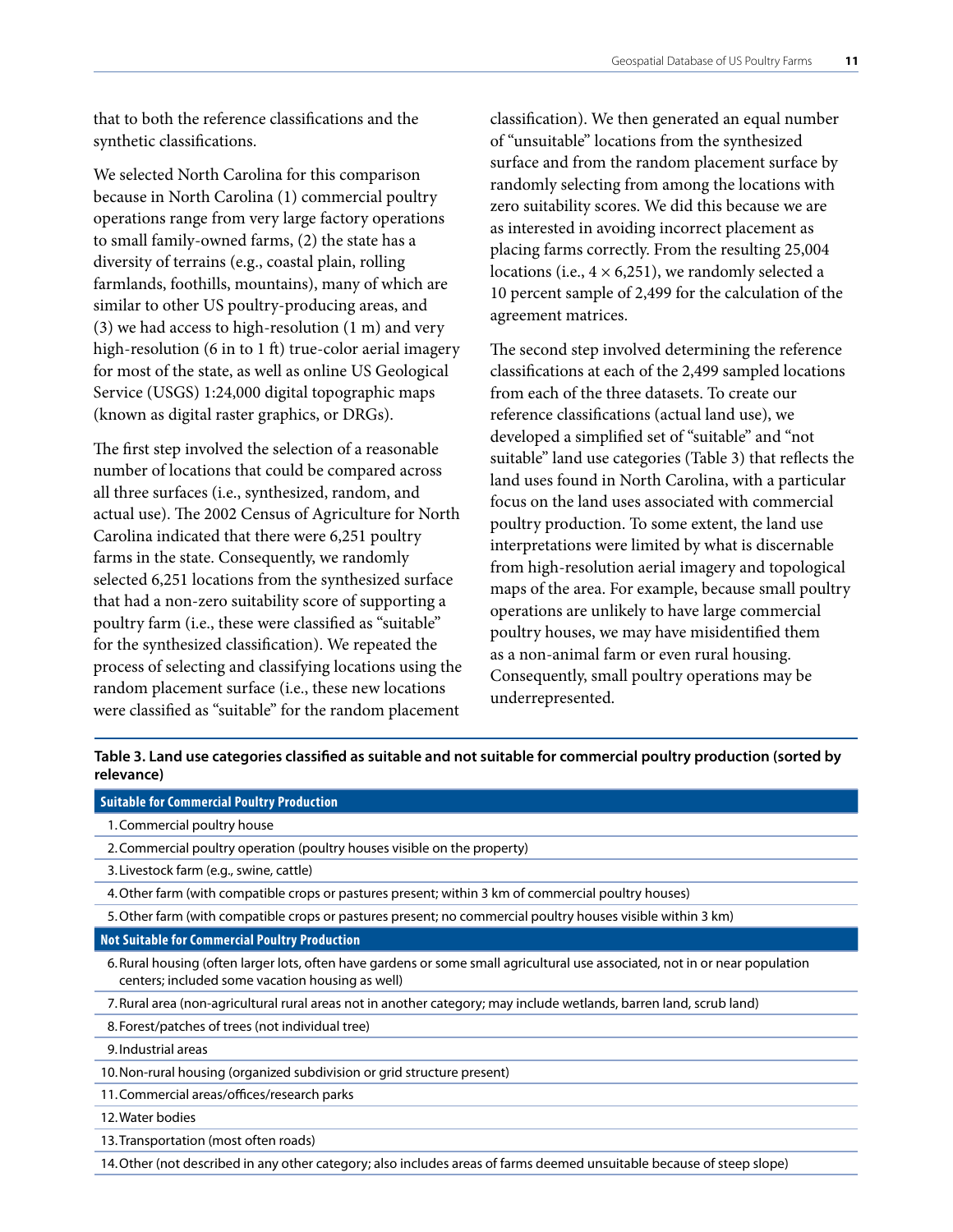that to both the reference classifications and the synthetic classifications.

We selected North Carolina for this comparison because in North Carolina (1) commercial poultry operations range from very large factory operations to small family-owned farms, (2) the state has a diversity of terrains (e.g., coastal plain, rolling farmlands, foothills, mountains), many of which are similar to other US poultry-producing areas, and (3) we had access to high-resolution (1 m) and very high-resolution (6 in to 1 ft) true-color aerial imagery for most of the state, as well as online US Geological Service (USGS) 1:24,000 digital topographic maps (known as digital raster graphics, or DRGs).

The first step involved the selection of a reasonable number of locations that could be compared across all three surfaces (i.e., synthesized, random, and actual use). The 2002 Census of Agriculture for North Carolina indicated that there were 6,251 poultry farms in the state. Consequently, we randomly selected 6,251 locations from the synthesized surface that had a non-zero suitability score of supporting a poultry farm (i.e., these were classified as "suitable" for the synthesized classification). We repeated the process of selecting and classifying locations using the random placement surface (i.e., these new locations were classified as "suitable" for the random placement

classification). We then generated an equal number of "unsuitable" locations from the synthesized surface and from the random placement surface by randomly selecting from among the locations with zero suitability scores. We did this because we are as interested in avoiding incorrect placement as placing farms correctly. From the resulting 25,004 locations (i.e.,  $4 \times 6,251$ ), we randomly selected a 10 percent sample of 2,499 for the calculation of the agreement matrices.

The second step involved determining the reference classifications at each of the 2,499 sampled locations from each of the three datasets. To create our reference classifications (actual land use), we developed a simplified set of "suitable" and "not suitable" land use categories (Table 3) that reflects the land uses found in North Carolina, with a particular focus on the land uses associated with commercial poultry production. To some extent, the land use interpretations were limited by what is discernable from high-resolution aerial imagery and topological maps of the area. For example, because small poultry operations are unlikely to have large commercial poultry houses, we may have misidentified them as a non-animal farm or even rural housing. Consequently, small poultry operations may be underrepresented.

**Table 3. Land use categories classified as suitable and not suitable for commercial poultry production (sorted by relevance)** 

#### **Suitable for Commercial Poultry Production**

- 1.Commercial poultry house
- 2.Commercial poultry operation (poultry houses visible on the property)
- 3.Livestock farm (e.g., swine, cattle)
- 4.Other farm (with compatible crops or pastures present; within 3 km of commercial poultry houses)
- 5.Other farm (with compatible crops or pastures present; no commercial poultry houses visible within 3 km)

#### **Not Suitable for Commercial Poultry Production**

- 6.Rural housing (often larger lots, often have gardens or some small agricultural use associated, not in or near population centers; included some vacation housing as well)
- 7.Rural area (non-agricultural rural areas not in another category; may include wetlands, barren land, scrub land)
- 8.Forest/patches of trees (not individual tree)

9.Industrial areas

- 10.Non-rural housing (organized subdivision or grid structure present)
- 11.Commercial areas/offices/research parks
- 12.Water bodies
- 13.Transportation (most often roads)

14.Other (not described in any other category; also includes areas of farms deemed unsuitable because of steep slope)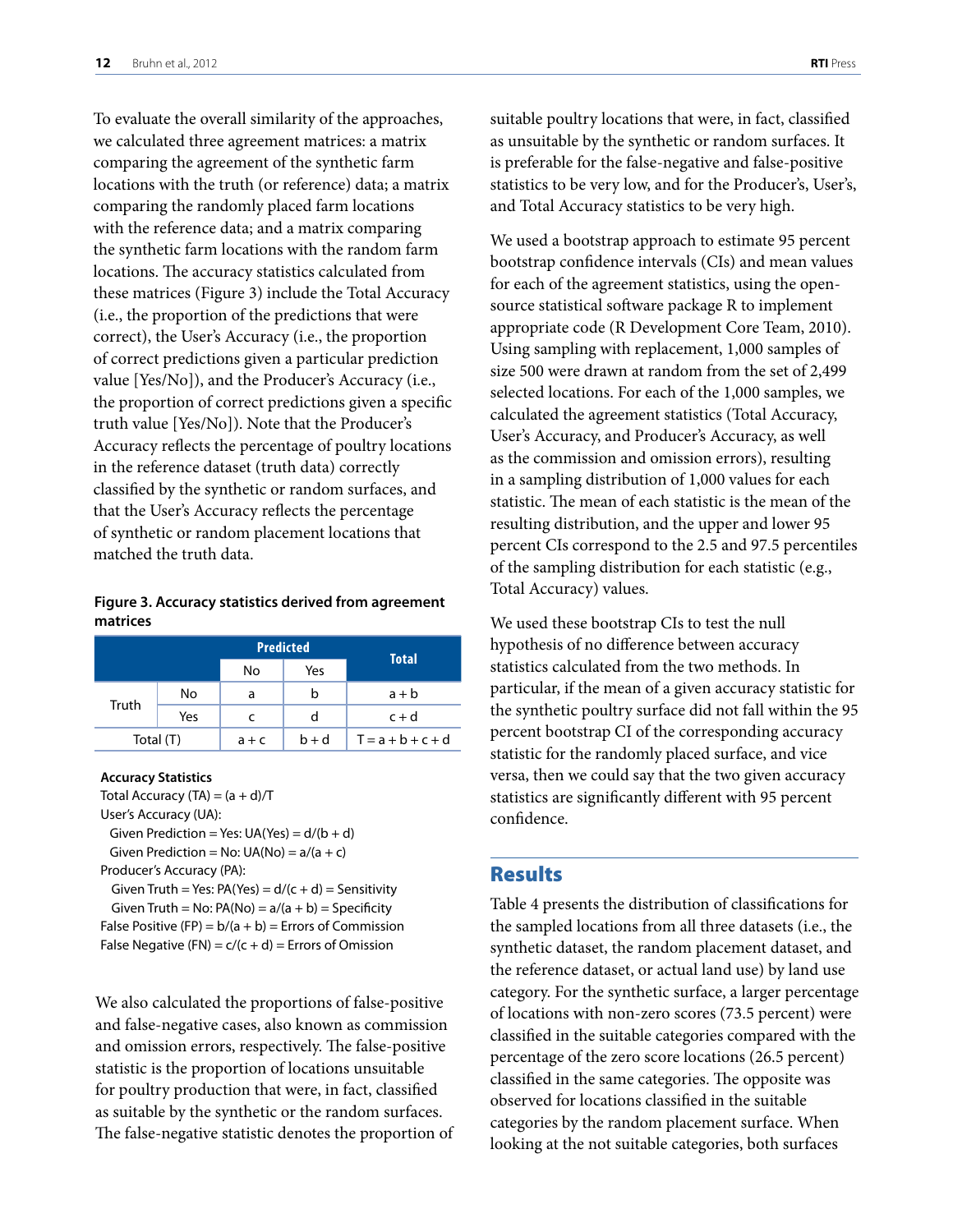<span id="page-13-0"></span>To evaluate the overall similarity of the approaches, we calculated three agreement matrices: a matrix comparing the agreement of the synthetic farm locations with the truth (or reference) data; a matrix comparing the randomly placed farm locations with the reference data; and a matrix comparing the synthetic farm locations with the random farm locations. The accuracy statistics calculated from these matrices (Figure 3) include the Total Accuracy (i.e., the proportion of the predictions that were correct), the User's Accuracy (i.e., the proportion of correct predictions given a particular prediction value [Yes/No]), and the Producer's Accuracy (i.e., the proportion of correct predictions given a specific truth value [Yes/No]). Note that the Producer's Accuracy reflects the percentage of poultry locations in the reference dataset (truth data) correctly classified by the synthetic or random surfaces, and that the User's Accuracy reflects the percentage of synthetic or random placement locations that matched the truth data.

#### **Figure 3. Accuracy statistics derived from agreement matrices**

|              |    |         | <b>Predicted</b> | <b>Total</b>        |  |
|--------------|----|---------|------------------|---------------------|--|
|              |    | No      | Yes              |                     |  |
|              | No | a       | b                | $a + b$             |  |
| Truth<br>Yes |    | c       | d                | $c + d$             |  |
| Total (T)    |    | $a + c$ | $b + d$          | $T = a + b + c + d$ |  |

#### **Accuracy Statistics**

Total Accuracy (TA) =  $(a + d)/T$ User's Accuracy (UA): Given Prediction = Yes:  $UA(Yes) = d/(b + d)$ Given Prediction = No:  $UA(No) = a/(a + c)$ Producer's Accuracy (PA): Given Truth = Yes:  $PA(Yes) = d/(c + d) =$  Sensitivity Given Truth = No:  $PA(No) = a/(a + b) =$  Specificity False Positive (FP) =  $b/(a + b)$  = Errors of Commission False Negative (FN) =  $c/(c + d)$  = Errors of Omission

We also calculated the proportions of false-positive and false-negative cases, also known as commission and omission errors, respectively. The false-positive statistic is the proportion of locations unsuitable for poultry production that were, in fact, classified as suitable by the synthetic or the random surfaces. The false-negative statistic denotes the proportion of suitable poultry locations that were, in fact, classified as unsuitable by the synthetic or random surfaces. It is preferable for the false-negative and false-positive statistics to be very low, and for the Producer's, User's, and Total Accuracy statistics to be very high.

We used a bootstrap approach to estimate 95 percent bootstrap confidence intervals (CIs) and mean values for each of the agreement statistics, using the opensource statistical software package R to implement appropriate code (R Development Core Team, 2010). Using sampling with replacement, 1,000 samples of size 500 were drawn at random from the set of 2,499 selected locations. For each of the 1,000 samples, we calculated the agreement statistics (Total Accuracy, User's Accuracy, and Producer's Accuracy, as well as the commission and omission errors), resulting in a sampling distribution of 1,000 values for each statistic. The mean of each statistic is the mean of the resulting distribution, and the upper and lower 95 percent CIs correspond to the 2.5 and 97.5 percentiles of the sampling distribution for each statistic (e.g., Total Accuracy) values.

We used these bootstrap CIs to test the null hypothesis of no difference between accuracy statistics calculated from the two methods. In particular, if the mean of a given accuracy statistic for the synthetic poultry surface did not fall within the 95 percent bootstrap CI of the corresponding accuracy statistic for the randomly placed surface, and vice versa, then we could say that the two given accuracy statistics are significantly different with 95 percent confidence.

#### Results

Table 4 presents the distribution of classifications for the sampled locations from all three datasets (i.e., the synthetic dataset, the random placement dataset, and the reference dataset, or actual land use) by land use category. For the synthetic surface, a larger percentage of locations with non-zero scores (73.5 percent) were classified in the suitable categories compared with the percentage of the zero score locations (26.5 percent) classified in the same categories. The opposite was observed for locations classified in the suitable categories by the random placement surface. When looking at the not suitable categories, both surfaces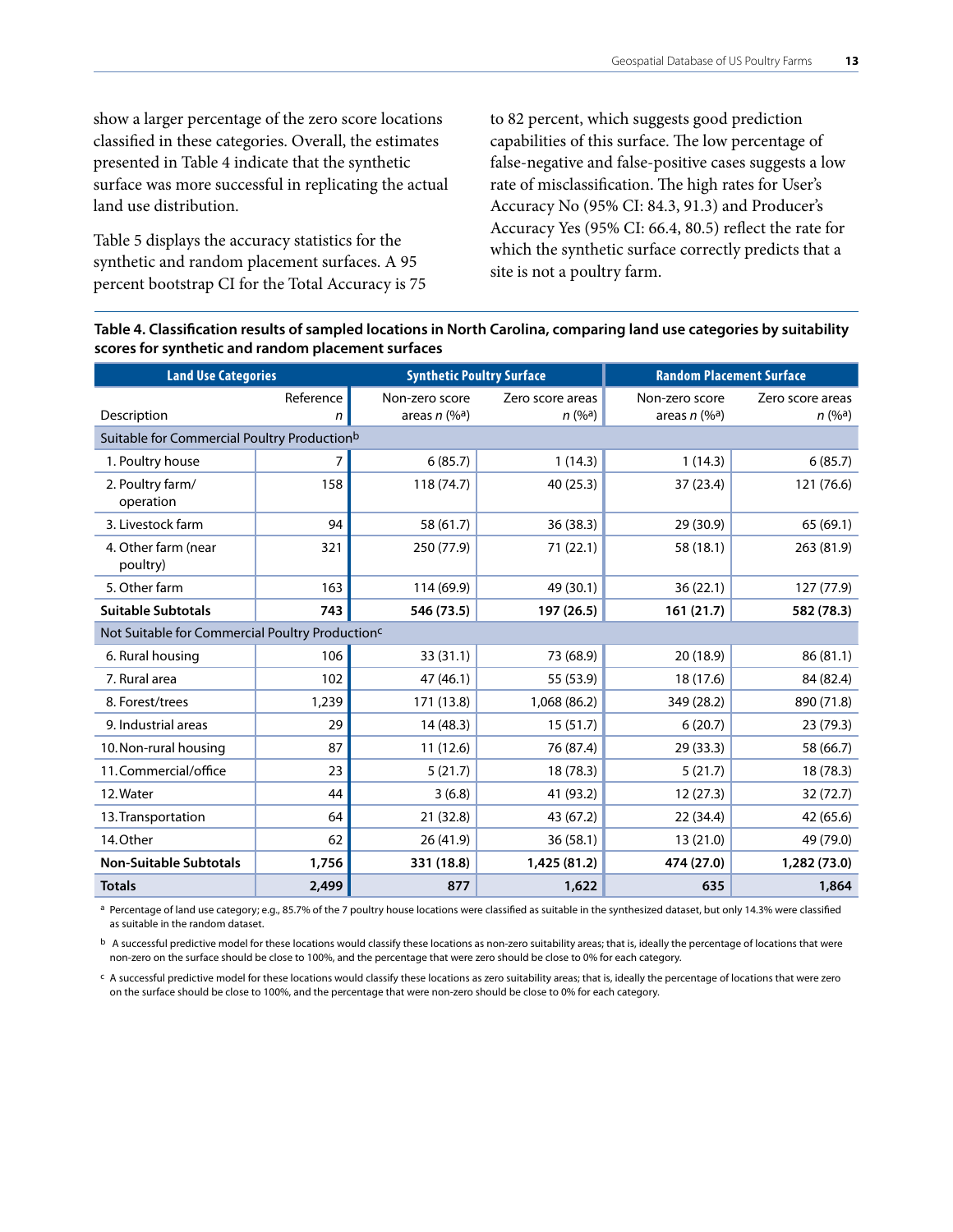show a larger percentage of the zero score locations classified in these categories. Overall, the estimates presented in Table 4 indicate that the synthetic surface was more successful in replicating the actual land use distribution.

Table 5 displays the accuracy statistics for the synthetic and random placement surfaces. A 95 percent bootstrap CI for the Total Accuracy is 75 to 82 percent, which suggests good prediction capabilities of this surface. The low percentage of false-negative and false-positive cases suggests a low rate of misclassification. The high rates for User's Accuracy No (95% CI: 84.3, 91.3) and Producer's Accuracy Yes (95% CI: 66.4, 80.5) reflect the rate for which the synthetic surface correctly predicts that a site is not a poultry farm.

#### **Table 4. Classification results of sampled locations in North Carolina, comparing land use categories by suitability scores for synthetic and random placement surfaces**

| <b>Land Use Categories</b>                                  |                | <b>Synthetic Poultry Surface</b>              |                                         | <b>Random Placement Surface</b>               |                            |
|-------------------------------------------------------------|----------------|-----------------------------------------------|-----------------------------------------|-----------------------------------------------|----------------------------|
| Description                                                 | Reference<br>n | Non-zero score<br>areas $n$ (% <sup>a</sup> ) | Zero score areas<br>n (% <sup>a</sup> ) | Non-zero score<br>areas $n$ (% <sup>a</sup> ) | Zero score areas<br>n (%a) |
| Suitable for Commercial Poultry Productionb                 |                |                                               |                                         |                                               |                            |
| 1. Poultry house                                            | 7              | 6(85.7)                                       | 1(14.3)                                 | 1(14.3)                                       | 6(85.7)                    |
| 2. Poultry farm/<br>operation                               | 158            | 118 (74.7)                                    | 40 (25.3)                               | 37 (23.4)                                     | 121 (76.6)                 |
| 3. Livestock farm                                           | 94             | 58 (61.7)                                     | 36 (38.3)                               | 29 (30.9)                                     | 65 (69.1)                  |
| 4. Other farm (near<br>poultry)                             | 321            | 250 (77.9)                                    | 71 (22.1)                               | 58 (18.1)                                     | 263 (81.9)                 |
| 5. Other farm                                               | 163            | 114 (69.9)                                    | 49 (30.1)                               | 36(22.1)                                      | 127 (77.9)                 |
| <b>Suitable Subtotals</b>                                   | 743            | 546 (73.5)                                    | 197 (26.5)                              | 161 (21.7)                                    | 582 (78.3)                 |
| Not Suitable for Commercial Poultry Production <sup>c</sup> |                |                                               |                                         |                                               |                            |
| 6. Rural housing                                            | 106            | 33 (31.1)                                     | 73 (68.9)                               | 20 (18.9)                                     | 86(81.1)                   |
| 7. Rural area                                               | 102            | 47 (46.1)                                     | 55 (53.9)                               | 18 (17.6)                                     | 84 (82.4)                  |
| 8. Forest/trees                                             | 1,239          | 171 (13.8)                                    | 1,068 (86.2)                            | 349 (28.2)                                    | 890 (71.8)                 |
| 9. Industrial areas                                         | 29             | 14 (48.3)                                     | 15(51.7)                                | 6(20.7)                                       | 23 (79.3)                  |
| 10. Non-rural housing                                       | 87             | 11(12.6)                                      | 76 (87.4)                               | 29 (33.3)                                     | 58 (66.7)                  |
| 11. Commercial/office                                       | 23             | 5(21.7)                                       | 18 (78.3)                               | 5(21.7)                                       | 18 (78.3)                  |
| 12. Water                                                   | 44             | 3(6.8)                                        | 41 (93.2)                               | 12(27.3)                                      | 32 (72.7)                  |
| 13. Transportation                                          | 64             | 21 (32.8)                                     | 43 (67.2)                               | 22 (34.4)                                     | 42 (65.6)                  |
| 14.Other                                                    | 62             | 26 (41.9)                                     | 36(58.1)                                | 13 (21.0)                                     | 49 (79.0)                  |
| <b>Non-Suitable Subtotals</b>                               | 1,756          | 331 (18.8)                                    | 1,425 (81.2)                            | 474 (27.0)                                    | 1,282 (73.0)               |
| <b>Totals</b>                                               | 2,499          | 877                                           | 1,622                                   | 635                                           | 1,864                      |

a Percentage of land use category; e.g., 85.7% of the 7 poultry house locations were classified as suitable in the synthesized dataset, but only 14.3% were classified as suitable in the random dataset.

 $b$  A successful predictive model for these locations would classify these locations as non-zero suitability areas; that is, ideally the percentage of locations that were non-zero on the surface should be close to 100%, and the percentage that were zero should be close to 0% for each category.

c A successful predictive model for these locations would classify these locations as zero suitability areas; that is, ideally the percentage of locations that were zero on the surface should be close to 100%, and the percentage that were non-zero should be close to 0% for each category.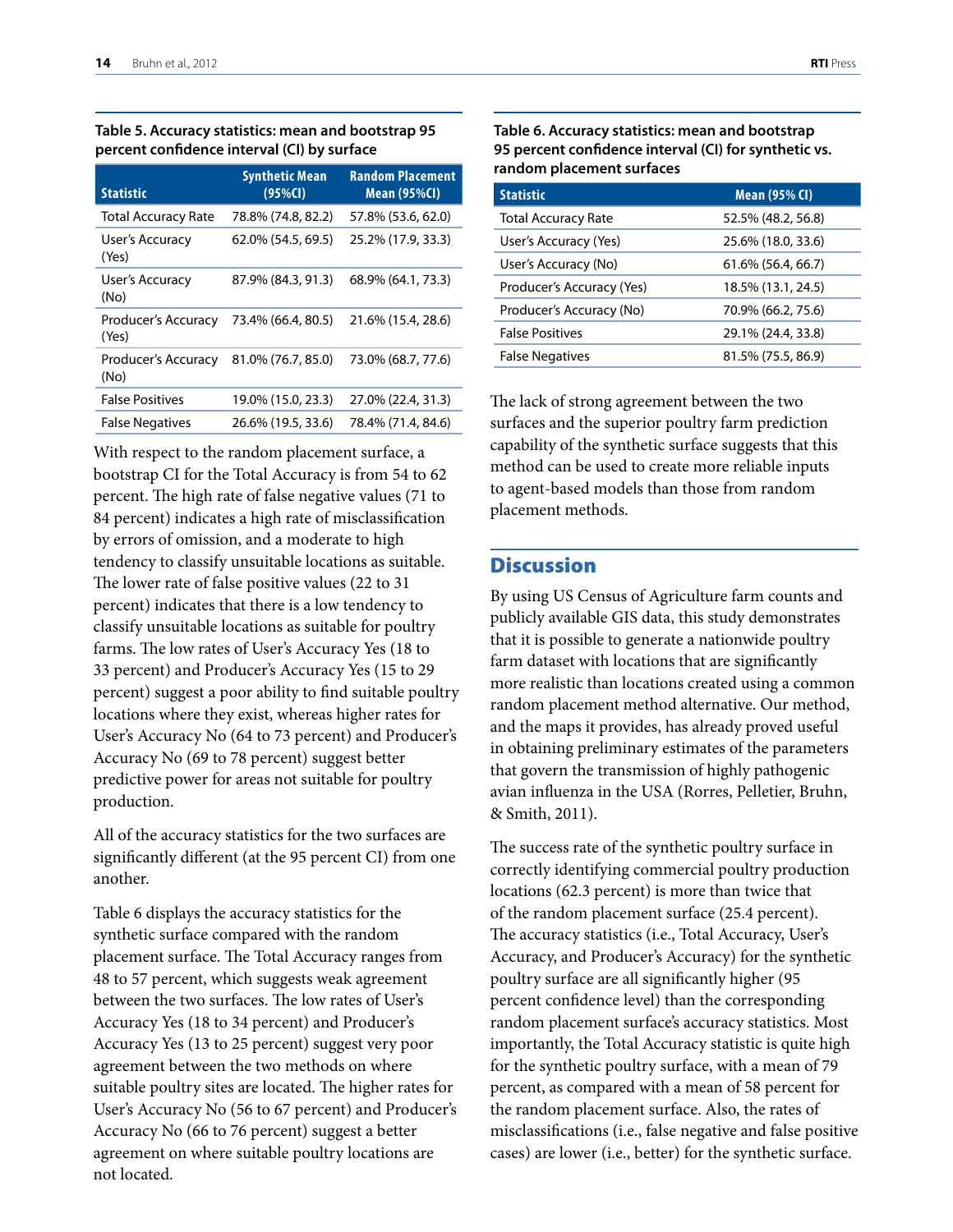<span id="page-15-0"></span>

| Table 5. Accuracy statistics: mean and bootstrap 95 |  |
|-----------------------------------------------------|--|
| percent confidence interval (CI) by surface         |  |

| <b>Statistic</b>             | <b>Synthetic Mean</b><br>$(95%$ CI) | <b>Random Placement</b><br><b>Mean (95%CI)</b> |
|------------------------------|-------------------------------------|------------------------------------------------|
| <b>Total Accuracy Rate</b>   | 78.8% (74.8, 82.2)                  | 57.8% (53.6, 62.0)                             |
| User's Accuracy<br>(Yes)     | 62.0% (54.5, 69.5)                  | 25.2% (17.9, 33.3)                             |
| User's Accuracy<br>(No)      | 87.9% (84.3, 91.3)                  | 68.9% (64.1, 73.3)                             |
| Producer's Accuracy<br>(Yes) | 73.4% (66.4, 80.5)                  | 21.6% (15.4, 28.6)                             |
| Producer's Accuracy<br>(No)  | 81.0% (76.7, 85.0)                  | 73.0% (68.7, 77.6)                             |
| <b>False Positives</b>       | 19.0% (15.0, 23.3)                  | 27.0% (22.4, 31.3)                             |
| <b>False Negatives</b>       | 26.6% (19.5, 33.6)                  | 78.4% (71.4, 84.6)                             |

With respect to the random placement surface, a bootstrap CI for the Total Accuracy is from 54 to 62 percent. The high rate of false negative values (71 to 84 percent) indicates a high rate of misclassification by errors of omission, and a moderate to high tendency to classify unsuitable locations as suitable. The lower rate of false positive values (22 to 31 percent) indicates that there is a low tendency to classify unsuitable locations as suitable for poultry farms. The low rates of User's Accuracy Yes (18 to 33 percent) and Producer's Accuracy Yes (15 to 29 percent) suggest a poor ability to find suitable poultry locations where they exist, whereas higher rates for User's Accuracy No (64 to 73 percent) and Producer's Accuracy No (69 to 78 percent) suggest better predictive power for areas not suitable for poultry production.

All of the accuracy statistics for the two surfaces are significantly different (at the 95 percent CI) from one another.

Table 6 displays the accuracy statistics for the synthetic surface compared with the random placement surface. The Total Accuracy ranges from 48 to 57 percent, which suggests weak agreement between the two surfaces. The low rates of User's Accuracy Yes (18 to 34 percent) and Producer's Accuracy Yes (13 to 25 percent) suggest very poor agreement between the two methods on where suitable poultry sites are located. The higher rates for User's Accuracy No (56 to 67 percent) and Producer's Accuracy No (66 to 76 percent) suggest a better agreement on where suitable poultry locations are not located.

**Table 6. Accuracy statistics: mean and bootstrap 95 percent confidence interval (CI) for synthetic vs. random placement surfaces**

| <b>Statistic</b>           | <b>Mean (95% CI)</b> |
|----------------------------|----------------------|
| <b>Total Accuracy Rate</b> | 52.5% (48.2, 56.8)   |
| User's Accuracy (Yes)      | 25.6% (18.0, 33.6)   |
| User's Accuracy (No)       | 61.6% (56.4, 66.7)   |
| Producer's Accuracy (Yes)  | 18.5% (13.1, 24.5)   |
| Producer's Accuracy (No)   | 70.9% (66.2, 75.6)   |
| <b>False Positives</b>     | 29.1% (24.4, 33.8)   |
| <b>False Negatives</b>     | 81.5% (75.5, 86.9)   |

The lack of strong agreement between the two surfaces and the superior poultry farm prediction capability of the synthetic surface suggests that this method can be used to create more reliable inputs to agent-based models than those from random placement methods.

# **Discussion**

By using US Census of Agriculture farm counts and publicly available GIS data, this study demonstrates that it is possible to generate a nationwide poultry farm dataset with locations that are significantly more realistic than locations created using a common random placement method alternative. Our method, and the maps it provides, has already proved useful in obtaining preliminary estimates of the parameters that govern the transmission of highly pathogenic avian influenza in the USA (Rorres, Pelletier, Bruhn, & Smith, 2011).

The success rate of the synthetic poultry surface in correctly identifying commercial poultry production locations (62.3 percent) is more than twice that of the random placement surface (25.4 percent). The accuracy statistics (i.e., Total Accuracy, User's Accuracy, and Producer's Accuracy) for the synthetic poultry surface are all significantly higher (95 percent confidence level) than the corresponding random placement surface's accuracy statistics. Most importantly, the Total Accuracy statistic is quite high for the synthetic poultry surface, with a mean of 79 percent, as compared with a mean of 58 percent for the random placement surface. Also, the rates of misclassifications (i.e., false negative and false positive cases) are lower (i.e., better) for the synthetic surface.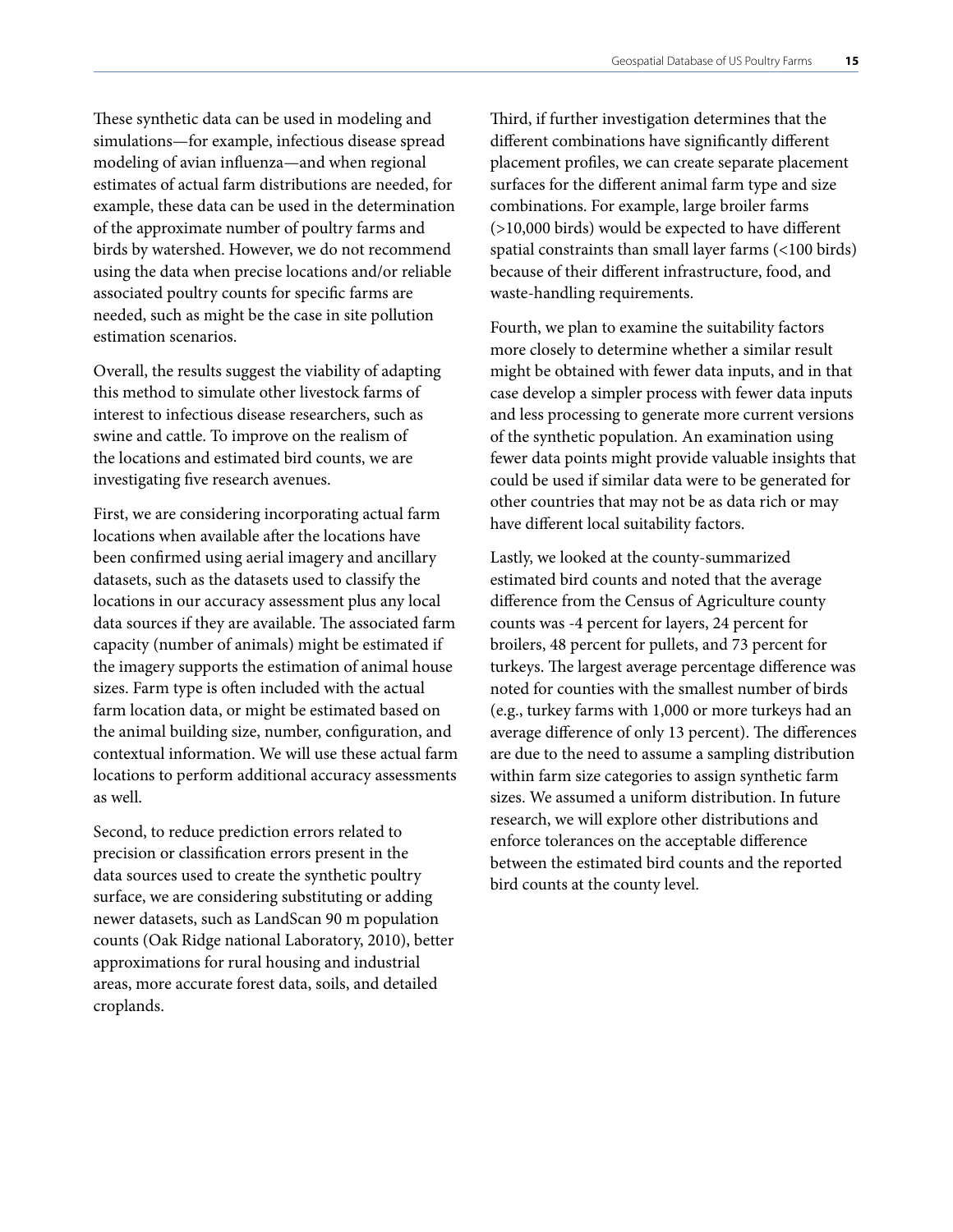<span id="page-16-0"></span>These synthetic data can be used in modeling and simulations—for example, infectious disease spread modeling of avian influenza—and when regional estimates of actual farm distributions are needed, for example, these data can be used in the determination of the approximate number of poultry farms and birds by watershed. However, we do not recommend using the data when precise locations and/or reliable associated poultry counts for specific farms are needed, such as might be the case in site pollution estimation scenarios.

Overall, the results suggest the viability of adapting this method to simulate other livestock farms of interest to infectious disease researchers, such as swine and cattle. To improve on the realism of the locations and estimated bird counts, we are investigating five research avenues.

First, we are considering incorporating actual farm locations when available after the locations have been confirmed using aerial imagery and ancillary datasets, such as the datasets used to classify the locations in our accuracy assessment plus any local data sources if they are available. The associated farm capacity (number of animals) might be estimated if the imagery supports the estimation of animal house sizes. Farm type is often included with the actual farm location data, or might be estimated based on the animal building size, number, configuration, and contextual information. We will use these actual farm locations to perform additional accuracy assessments as well.

Second, to reduce prediction errors related to precision or classification errors present in the data sources used to create the synthetic poultry surface, we are considering substituting or adding newer datasets, such as LandScan 90 m population counts (Oak Ridge national Laboratory, 2010), better approximations for rural housing and industrial areas, more accurate forest data, soils, and detailed croplands.

Third, if further investigation determines that the different combinations have significantly different placement profiles, we can create separate placement surfaces for the different animal farm type and size combinations. For example, large broiler farms (>10,000 birds) would be expected to have different spatial constraints than small layer farms (<100 birds) because of their different infrastructure, food, and waste-handling requirements.

Fourth, we plan to examine the suitability factors more closely to determine whether a similar result might be obtained with fewer data inputs, and in that case develop a simpler process with fewer data inputs and less processing to generate more current versions of the synthetic population. An examination using fewer data points might provide valuable insights that could be used if similar data were to be generated for other countries that may not be as data rich or may have different local suitability factors.

Lastly, we looked at the county-summarized estimated bird counts and noted that the average difference from the Census of Agriculture county counts was -4 percent for layers, 24 percent for broilers, 48 percent for pullets, and 73 percent for turkeys. The largest average percentage difference was noted for counties with the smallest number of birds (e.g., turkey farms with 1,000 or more turkeys had an average difference of only 13 percent). The differences are due to the need to assume a sampling distribution within farm size categories to assign synthetic farm sizes. We assumed a uniform distribution. In future research, we will explore other distributions and enforce tolerances on the acceptable difference between the estimated bird counts and the reported bird counts at the county level.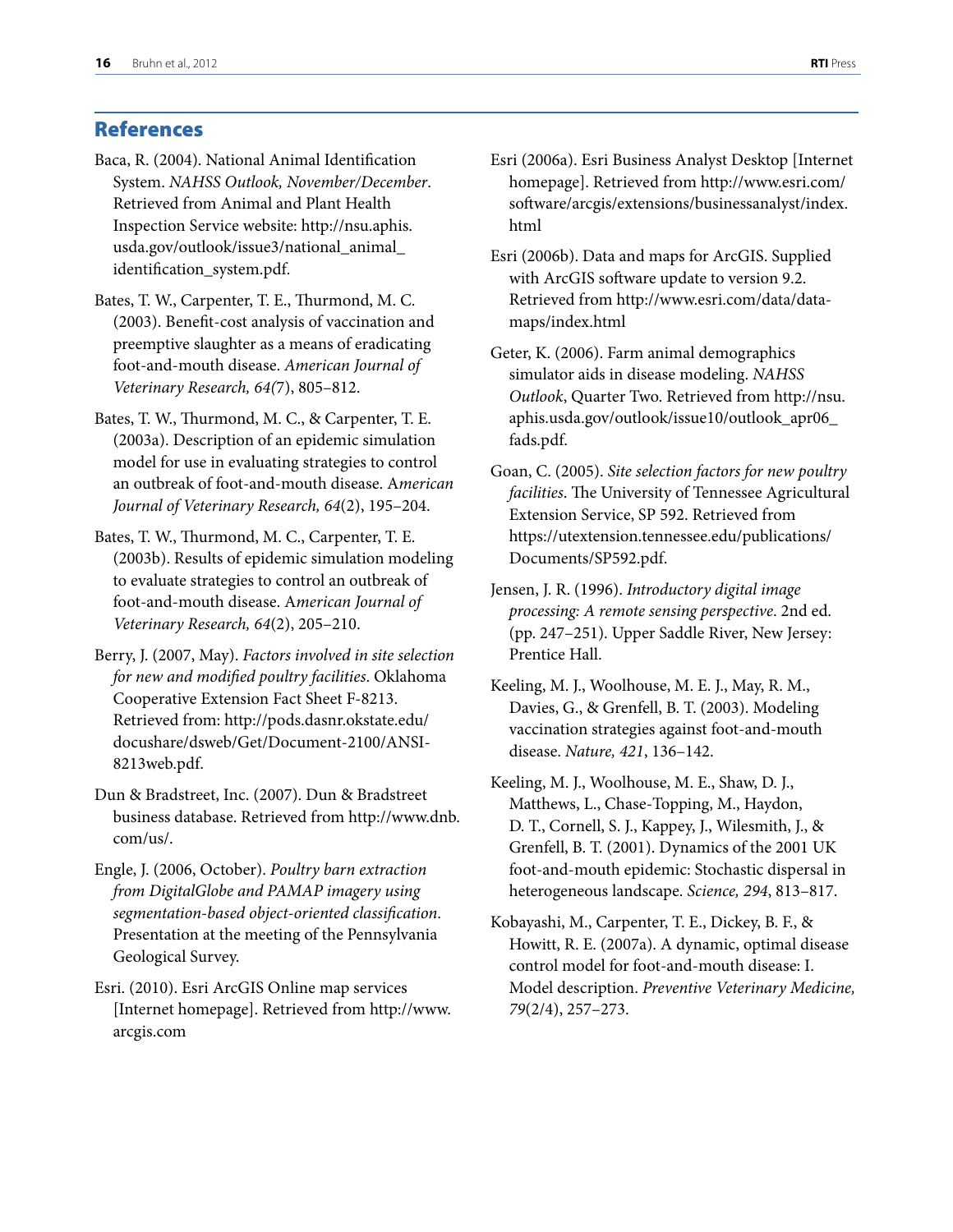# References

- Baca, R. (2004). National Animal Identification System. *NAHSS Outlook, November/December*. Retrieved from Animal and Plant Health Inspection Service website: [http://nsu.aphis.](http://nsu.aphis.usda.gov/outlook/issue3/national_animal_identification_system.pdf) [usda.gov/outlook/issue3/national\\_animal\\_](http://nsu.aphis.usda.gov/outlook/issue3/national_animal_identification_system.pdf) [identification\\_system.pdf](http://nsu.aphis.usda.gov/outlook/issue3/national_animal_identification_system.pdf).
- Bates, T. W., Carpenter, T. E., Thurmond, M. C. (2003). Benefit-cost analysis of vaccination and preemptive slaughter as a means of eradicating foot-and-mouth disease. *American Journal of Veterinary Research, 64(*7), 805–812.
- Bates, T. W., Thurmond, M. C., & Carpenter, T. E. (2003a). Description of an epidemic simulation model for use in evaluating strategies to control an outbreak of foot-and-mouth disease. A*merican Journal of Veterinary Research, 64*(2), 195–204.
- Bates, T. W., Thurmond, M. C., Carpenter, T. E. (2003b). Results of epidemic simulation modeling to evaluate strategies to control an outbreak of foot-and-mouth disease. A*merican Journal of Veterinary Research, 64*(2), 205–210.
- Berry, J. (2007, May). *Factors involved in site selection for new and modified poultry facilities*. Oklahoma Cooperative Extension Fact Sheet F-8213. Retrieved from: [http://pods.dasnr.okstate.edu/](http://pods.dasnr.okstate.edu/docushare/dsweb/Get/Document-2100/ANSI-8213web.pdf) [docushare/dsweb/Get/Document-2100/ANSI-](http://pods.dasnr.okstate.edu/docushare/dsweb/Get/Document-2100/ANSI-8213web.pdf)[8213web.pdf](http://pods.dasnr.okstate.edu/docushare/dsweb/Get/Document-2100/ANSI-8213web.pdf).
- Dun & Bradstreet, Inc. (2007). Dun & Bradstreet business database. Retrieved from [http://www.dnb.](http://www.dnb.com/us/) [com/us/.](http://www.dnb.com/us/)
- Engle, J. (2006, October). *Poultry barn extraction from DigitalGlobe and PAMAP imagery using segmentation-based object-oriented classification*. Presentation at the meeting of the Pennsylvania Geological Survey.
- Esri. (2010). Esri ArcGIS Online map services [Internet homepage]. Retrieved from [http://www.](http://www.arcgis.com) [arcgis.com](http://www.arcgis.com)
- Esri (2006a). Esri Business Analyst Desktop [Internet homepage]. Retrieved from [http://www.esri.com/](http://www.esri.com/software/arcgis/extensions/businessanalyst/index.html) [software/arcgis/extensions/businessanalyst/index.](http://www.esri.com/software/arcgis/extensions/businessanalyst/index.html) [html](http://www.esri.com/software/arcgis/extensions/businessanalyst/index.html)
- Esri (2006b). Data and maps for ArcGIS. Supplied with ArcGIS software update to version 9.2. Retrieved from [http://www.esri.com/data/data](http://www.esri.com/data/data-maps/index.html)[maps/index.html](http://www.esri.com/data/data-maps/index.html)
- Geter, K. (2006). Farm animal demographics simulator aids in disease modeling. *NAHSS Outlook*, Quarter Two. Retrieved from [http://nsu.](http://nsu.aphis.usda.gov/outlook/issue10/outlook_apr06_fads.pdf) [aphis.usda.gov/outlook/issue10/outlook\\_apr06\\_](http://nsu.aphis.usda.gov/outlook/issue10/outlook_apr06_fads.pdf) [fads.pdf](http://nsu.aphis.usda.gov/outlook/issue10/outlook_apr06_fads.pdf).
- Goan, C. (2005). *Site selection factors for new poultry facilities*. The University of Tennessee Agricultural Extension Service, SP 592. Retrieved from [https://utextension.tennessee.edu/publications/](https://utextension.tennessee.edu/publications/Documents/SP592.pdf) [Documents/SP592.pdf.](https://utextension.tennessee.edu/publications/Documents/SP592.pdf)
- Jensen, J. R. (1996). *Introductory digital image processing: A remote sensing perspective*. 2nd ed. (pp. 247–251). Upper Saddle River, New Jersey: Prentice Hall.
- Keeling, M. J., Woolhouse, M. E. J., May, R. M., Davies, G., & Grenfell, B. T. (2003). Modeling vaccination strategies against foot-and-mouth disease. *Nature, 421*, 136–142.
- Keeling, M. J., Woolhouse, M. E., Shaw, D. J., Matthews, L., Chase-Topping, M., Haydon, D. T., Cornell, S. J., Kappey, J., Wilesmith, J., & Grenfell, B. T. (2001). Dynamics of the 2001 UK foot-and-mouth epidemic: Stochastic dispersal in heterogeneous landscape. *Science, 294*, 813–817.
- Kobayashi, M., Carpenter, T. E., Dickey, B. F., & Howitt, R. E. (2007a). A dynamic, optimal disease control model for foot-and-mouth disease: I. Model description. *Preventive Veterinary Medicine, 79*(2/4), 257–273.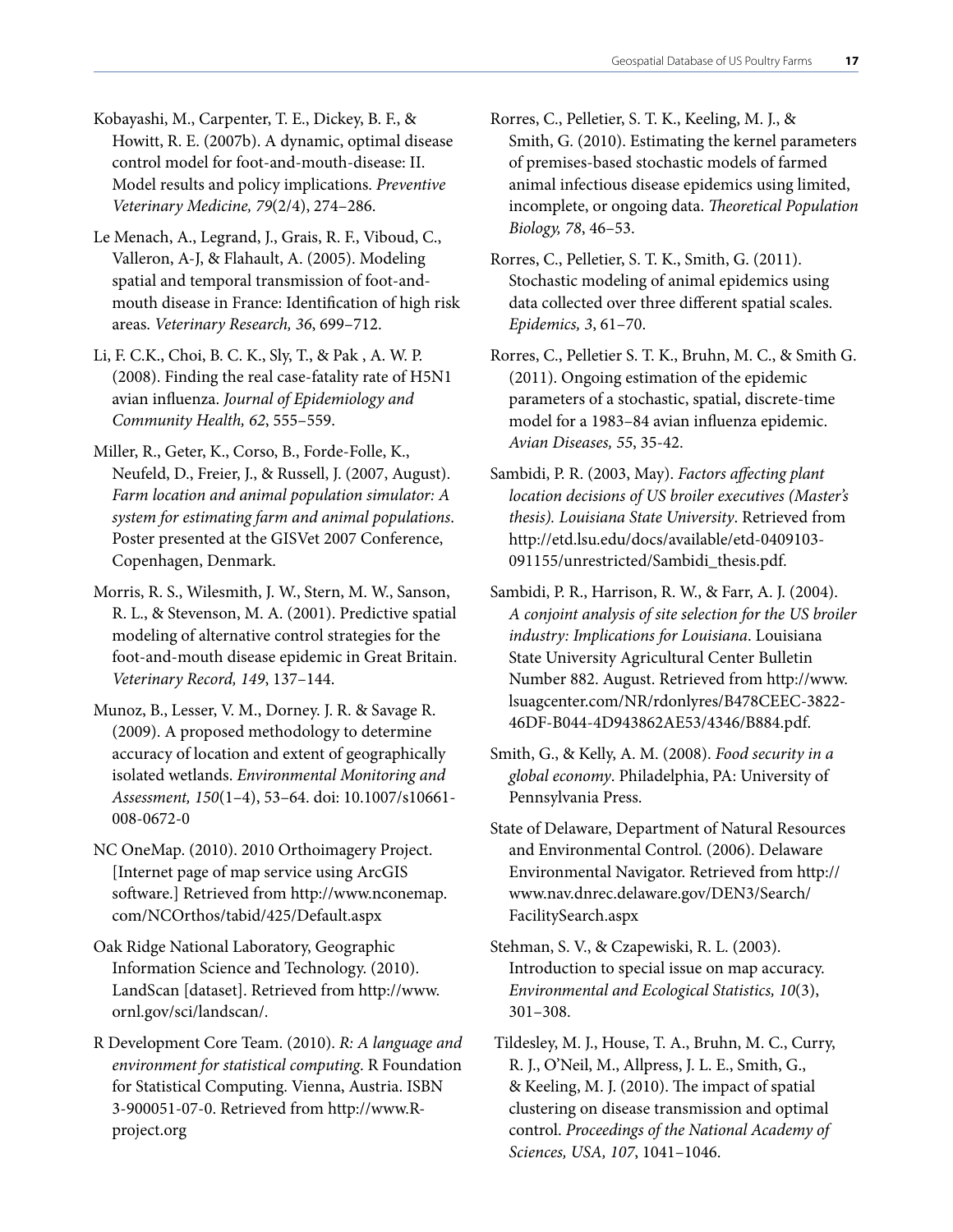Kobayashi, M., Carpenter, T. E., Dickey, B. F., & Howitt, R. E. (2007b). A dynamic, optimal disease control model for foot-and-mouth-disease: II. Model results and policy implications. *Preventive Veterinary Medicine, 79*(2/4), 274–286.

- Le Menach, A., Legrand, J., Grais, R. F., Viboud, C., Valleron, A-J, & Flahault, A. (2005). Modeling spatial and temporal transmission of foot-andmouth disease in France: Identification of high risk areas. *Veterinary Research, 36*, 699–712.
- Li, F. C.K., Choi, B. C. K., Sly, T., & Pak , A. W. P. (2008). Finding the real case-fatality rate of H5N1 avian influenza. *Journal of Epidemiology and Community Health, 62*, 555–559.
- Miller, R., Geter, K., Corso, B., Forde-Folle, K., Neufeld, D., Freier, J., & Russell, J. (2007, August). *Farm location and animal population simulator: A system for estimating farm and animal populations*. Poster presented at the GISVet 2007 Conference, Copenhagen, Denmark.
- Morris, R. S., Wilesmith, J. W., Stern, M. W., Sanson, R. L., & Stevenson, M. A. (2001). Predictive spatial modeling of alternative control strategies for the foot-and-mouth disease epidemic in Great Britain. *Veterinary Record, 149*, 137–144.
- Munoz, B., Lesser, V. M., Dorney. J. R. & Savage R. (2009). A proposed methodology to determine accuracy of location and extent of geographically isolated wetlands. *Environmental Monitoring and Assessment, 150*(1–4), 53–64. doi: 10.1007/s10661- 008-0672-0
- NC OneMap. (2010). 2010 Orthoimagery Project. [Internet page of map service using ArcGIS software.] Retrieved from [http://www.nconemap.](http://www.nconemap.com/NCOrthos/tabid/425/Default.aspx) [com/NCOrthos/tabid/425/Default.aspx](http://www.nconemap.com/NCOrthos/tabid/425/Default.aspx)
- Oak Ridge National Laboratory, Geographic Information Science and Technology. (2010). LandScan [dataset]. Retrieved from [http://www.](http://www.ornl.gov/sci/landscan/) [ornl.gov/sci/landscan/](http://www.ornl.gov/sci/landscan/).
- R Development Core Team. (2010). *R: A language and environment for statistical computing*. R Foundation for Statistical Computing. Vienna, Austria. ISBN 3-900051-07-0. Retrieved from [http://www.R](http://www.R-project.org)[project.org](http://www.R-project.org)
- Rorres, C., Pelletier, S. T. K., Keeling, M. J., & Smith, G. (2010). Estimating the kernel parameters of premises-based stochastic models of farmed animal infectious disease epidemics using limited, incomplete, or ongoing data. *Theoretical Population Biology, 78*, 46–53.
- Rorres, C., Pelletier, S. T. K., Smith, G. (2011). Stochastic modeling of animal epidemics using data collected over three different spatial scales. *Epidemics, 3*, 61–70.
- Rorres, C., Pelletier S. T. K., Bruhn, M. C., & Smith G. (2011). Ongoing estimation of the epidemic parameters of a stochastic, spatial, discrete-time model for a 1983–84 avian influenza epidemic. *Avian Diseases, 55*, 35-42.
- Sambidi, P. R. (2003, May). *Factors affecting plant location decisions of US broiler executives (Master's thesis). Louisiana State University*. Retrieved from [http://etd.lsu.edu/docs/available/etd-0409103-](http://etd.lsu.edu/docs/available/etd-0409103-091155/unrestricted/Sambidi_thesis.pdf) [091155/unrestricted/Sambidi\\_thesis.pdf](http://etd.lsu.edu/docs/available/etd-0409103-091155/unrestricted/Sambidi_thesis.pdf).
- Sambidi, P. R., Harrison, R. W., & Farr, A. J. (2004). *A conjoint analysis of site selection for the US broiler industry: Implications for Louisiana*. Louisiana State University Agricultural Center Bulletin Number 882. August. Retrieved from [http://www.](http://www.lsuagcenter.com/NR/rdonlyres/B478CEEC-3822-46DF-B044-4D943862AE53/4346/B884.pdf) [lsuagcenter.com/NR/rdonlyres/B478CEEC-3822-](http://www.lsuagcenter.com/NR/rdonlyres/B478CEEC-3822-46DF-B044-4D943862AE53/4346/B884.pdf) [46DF-B044-4D943862AE53/4346/B884.pdf.](http://www.lsuagcenter.com/NR/rdonlyres/B478CEEC-3822-46DF-B044-4D943862AE53/4346/B884.pdf)
- Smith, G., & Kelly, A. M. (2008). *Food security in a global economy*. Philadelphia, PA: University of Pennsylvania Press.
- State of Delaware, Department of Natural Resources and Environmental Control. (2006). Delaware Environmental Navigator. Retrieved from [http://](http://www.nav.dnrec.delaware.gov/DEN3/Search/FacilitySearch.aspx) [www.nav.dnrec.delaware.gov/DEN3/Search/](http://www.nav.dnrec.delaware.gov/DEN3/Search/FacilitySearch.aspx) [FacilitySearch.aspx](http://www.nav.dnrec.delaware.gov/DEN3/Search/FacilitySearch.aspx)
- Stehman, S. V., & Czapewiski, R. L. (2003). Introduction to special issue on map accuracy. *Environmental and Ecological Statistics, 10*(3), 301–308.
- Tildesley, M. J., House, T. A., Bruhn, M. C., Curry, R. J., O'Neil, M., Allpress, J. L. E., Smith, G., & Keeling, M. J. (2010). The impact of spatial clustering on disease transmission and optimal control. *Proceedings of the National Academy of Sciences, USA, 107*, 1041–1046.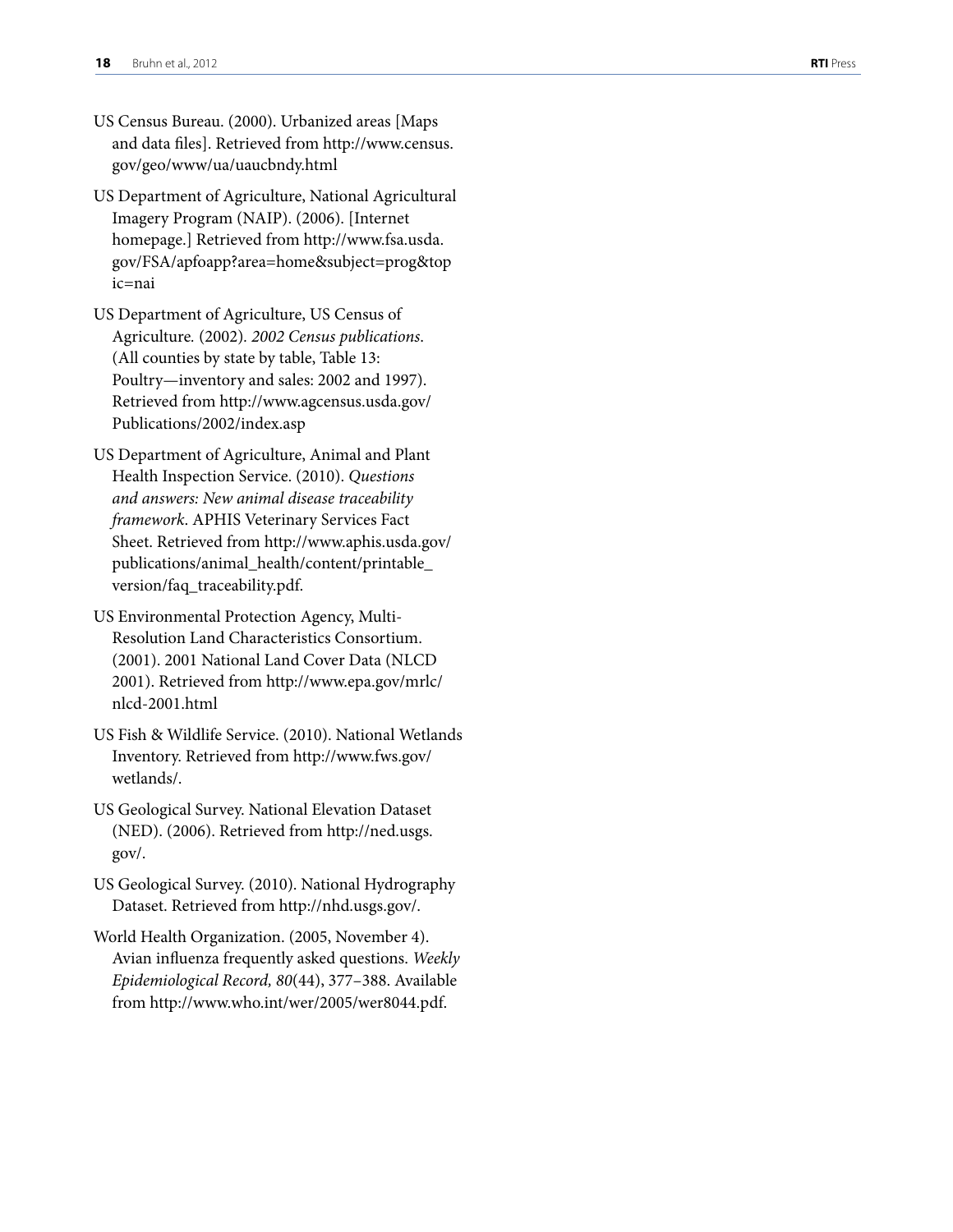- US Census Bureau. (2000). Urbanized areas [Maps and data files]. Retrieved from [http://www.census.](http://www.census.gov/geo/www/ua/uaucbndy.html) [gov/geo/www/ua/uaucbndy.html](http://www.census.gov/geo/www/ua/uaucbndy.html)
- US Department of Agriculture, National Agricultural Imagery Program (NAIP). (2006). [Internet homepage.] Retrieved from [http://www.fsa.usda.](http://www.fsa.usda.gov/FSA/apfoapp?area=home&subject=prog&topic=nai) [gov/FSA/apfoapp?area=home&subject=prog&top](http://www.fsa.usda.gov/FSA/apfoapp?area=home&subject=prog&topic=nai) [ic=nai](http://www.fsa.usda.gov/FSA/apfoapp?area=home&subject=prog&topic=nai)
- US Department of Agriculture, US Census of Agriculture*.* (2002)*. 2002 Census publications*. (All counties by state by table, Table 13: Poultry—inventory and sales: 2002 and 1997). Retrieved from [http://www.agcensus.usda.gov/](http://www.agcensus.usda.gov/Publications/2002/index.asp) [Publications/2002/index.asp](http://www.agcensus.usda.gov/Publications/2002/index.asp)
- US Department of Agriculture, Animal and Plant Health Inspection Service. (2010). *Questions and answers: New animal disease traceability framework*. APHIS Veterinary Services Fact Sheet. Retrieved from [http://www.aphis.usda.gov/](http://www.aphis.usda.gov/publications/animal_health/content/printable_version/faq_traceability.pdf) [publications/animal\\_health/content/printable\\_](http://www.aphis.usda.gov/publications/animal_health/content/printable_version/faq_traceability.pdf) [version/faq\\_traceability.pdf.](http://www.aphis.usda.gov/publications/animal_health/content/printable_version/faq_traceability.pdf)
- US Environmental Protection Agency, Multi-Resolution Land Characteristics Consortium. (2001). 2001 National Land Cover Data (NLCD 2001). Retrieved from [http://www.epa.gov/mrlc/](http://www.epa.gov/mrlc/nlcd-2001.html) [nlcd-2001.html](http://www.epa.gov/mrlc/nlcd-2001.html)
- US Fish & Wildlife Service. (2010). National Wetlands Inventory. Retrieved from [http://www.fws.gov/](http://www.fws.gov/wetlands/) [wetlands/.](http://www.fws.gov/wetlands/)
- US Geological Survey. National Elevation Dataset (NED). (2006). Retrieved from [http://ned.usgs.](http://ned.usgs.gov/) [gov/](http://ned.usgs.gov/).
- US Geological Survey. (2010). National Hydrography Dataset. Retrieved from [http://nhd.usgs.gov/.](http://nhd.usgs.gov/)
- World Health Organization. (2005, November 4). Avian influenza frequently asked questions. *Weekly Epidemiological Record, 80*(44), 377–388. Available from [http://www.who.int/wer/2005/wer8044.pdf.](http://www.who.int/wer/2005/wer8044.pdf)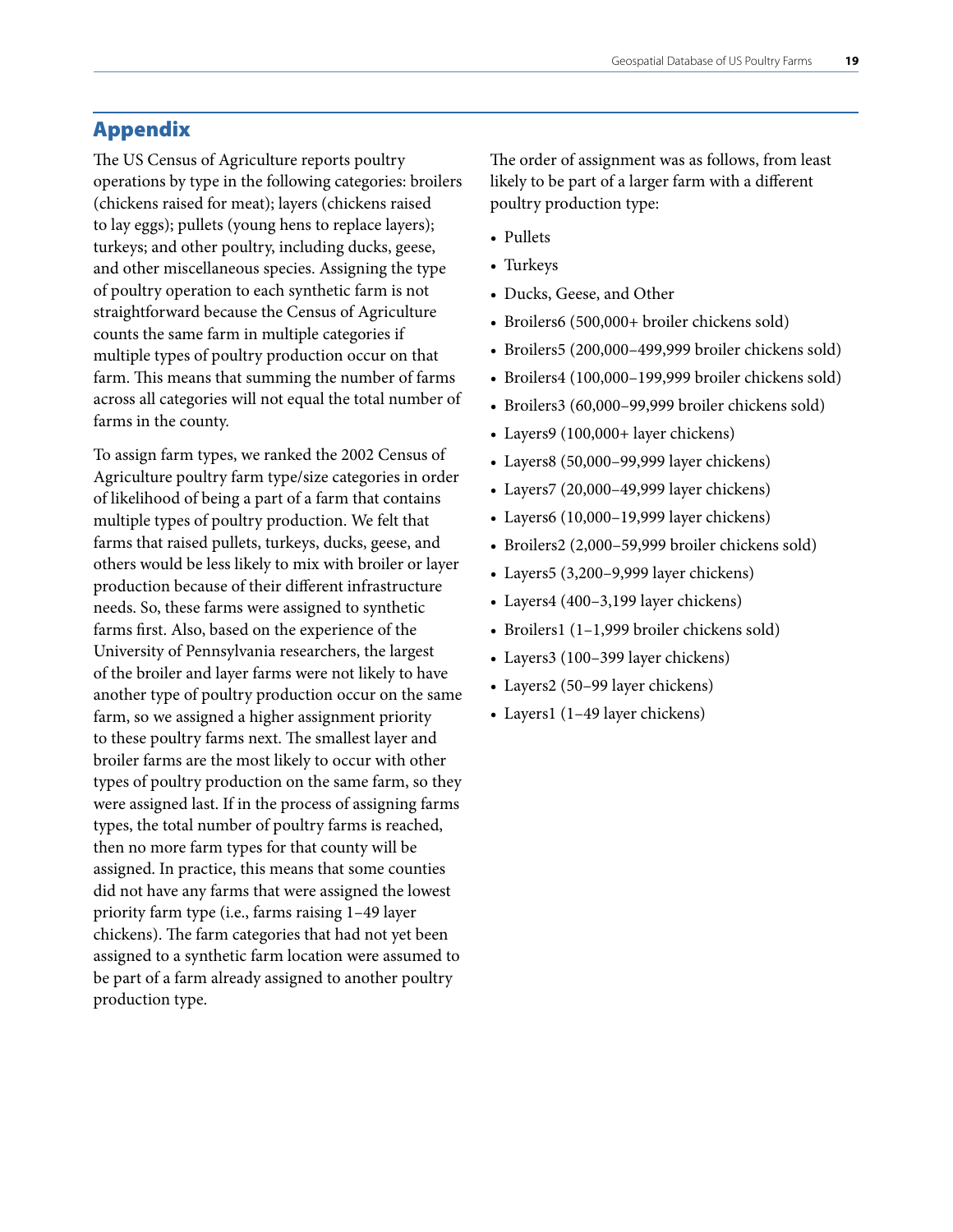# <span id="page-20-0"></span>Appendix

The US Census of Agriculture reports poultry operations by type in the following categories: broilers (chickens raised for meat); layers (chickens raised to lay eggs); pullets (young hens to replace layers); turkeys; and other poultry, including ducks, geese, and other miscellaneous species. Assigning the type of poultry operation to each synthetic farm is not straightforward because the Census of Agriculture counts the same farm in multiple categories if multiple types of poultry production occur on that farm. This means that summing the number of farms across all categories will not equal the total number of farms in the county.

To assign farm types, we ranked the 2002 Census of Agriculture poultry farm type/size categories in order of likelihood of being a part of a farm that contains multiple types of poultry production. We felt that farms that raised pullets, turkeys, ducks, geese, and others would be less likely to mix with broiler or layer production because of their different infrastructure needs. So, these farms were assigned to synthetic farms first. Also, based on the experience of the University of Pennsylvania researchers, the largest of the broiler and layer farms were not likely to have another type of poultry production occur on the same farm, so we assigned a higher assignment priority to these poultry farms next. The smallest layer and broiler farms are the most likely to occur with other types of poultry production on the same farm, so they were assigned last. If in the process of assigning farms types, the total number of poultry farms is reached, then no more farm types for that county will be assigned. In practice, this means that some counties did not have any farms that were assigned the lowest priority farm type (i.e., farms raising 1–49 layer chickens). The farm categories that had not yet been assigned to a synthetic farm location were assumed to be part of a farm already assigned to another poultry production type.

The order of assignment was as follows, from least likely to be part of a larger farm with a different poultry production type:

- Pullets
- • Turkeys
- Ducks, Geese, and Other
- Broilers6 (500,000+ broiler chickens sold)
- Broilers5 (200,000-499,999 broiler chickens sold)
- • Broilers4 (100,000–199,999 broiler chickens sold)
- Broilers3 (60,000–99,999 broiler chickens sold)
- Layers9 (100,000+ layer chickens)
- Layers8 (50,000-99,999 layer chickens)
- Layers7 (20,000-49,999 layer chickens)
- Layers6 (10,000-19,999 layer chickens)
- Broilers2 (2,000–59,999 broiler chickens sold)
- Layers5 (3,200-9,999 layer chickens)
- Layers4 (400-3,199 layer chickens)
- Broilers1 (1-1,999 broiler chickens sold)
- Layers3 (100-399 layer chickens)
- Layers2 (50-99 layer chickens)
- Layers1 (1-49 layer chickens)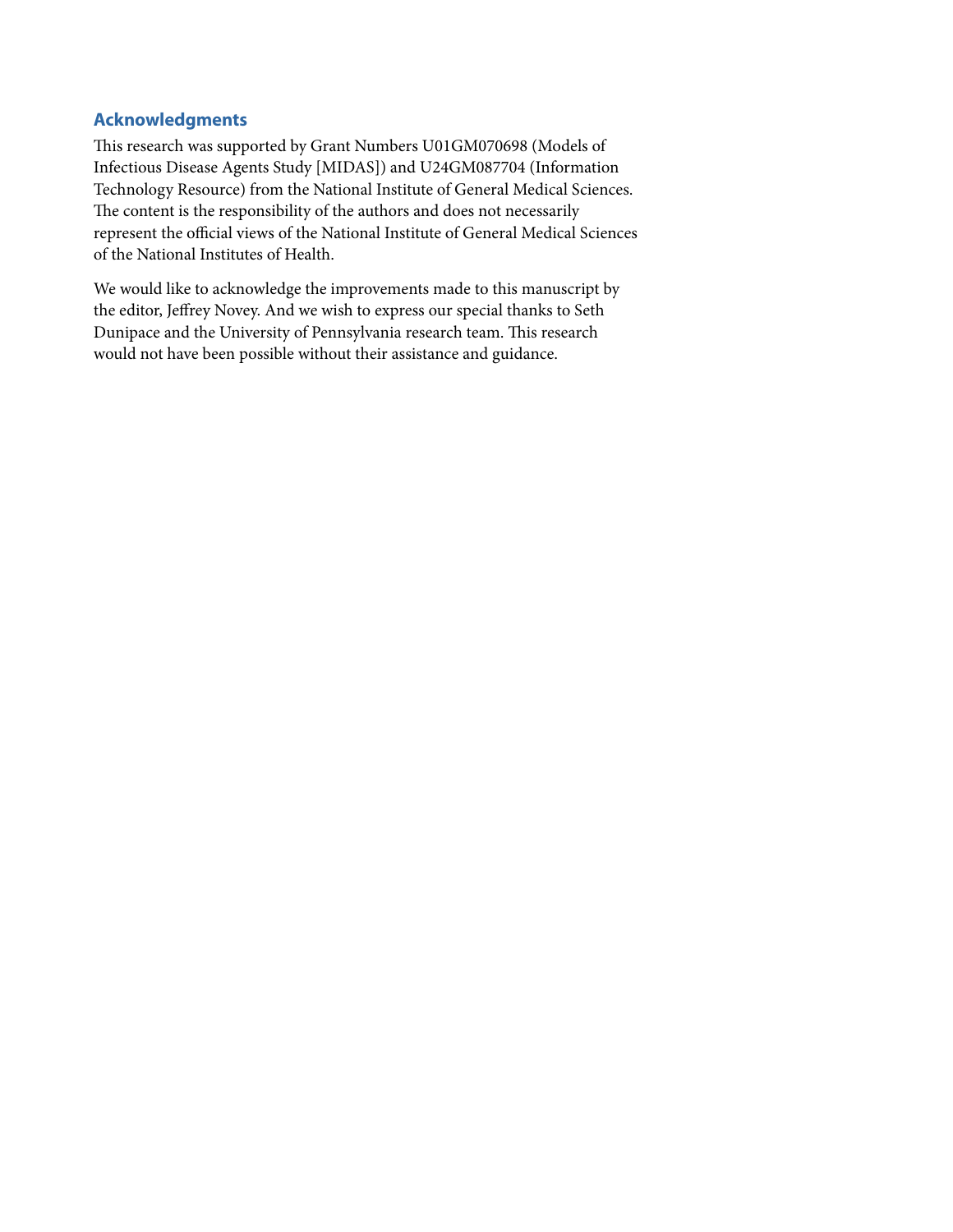# <span id="page-22-0"></span>**Acknowledgments**

This research was supported by Grant Numbers U01GM070698 (Models of Infectious Disease Agents Study [MIDAS]) and U24GM087704 (Information Technology Resource) from the National Institute of General Medical Sciences. The content is the responsibility of the authors and does not necessarily represent the official views of the National Institute of General Medical Sciences of the National Institutes of Health.

We would like to acknowledge the improvements made to this manuscript by the editor, Jeffrey Novey. And we wish to express our special thanks to Seth Dunipace and the University of Pennsylvania research team. This research would not have been possible without their assistance and guidance.